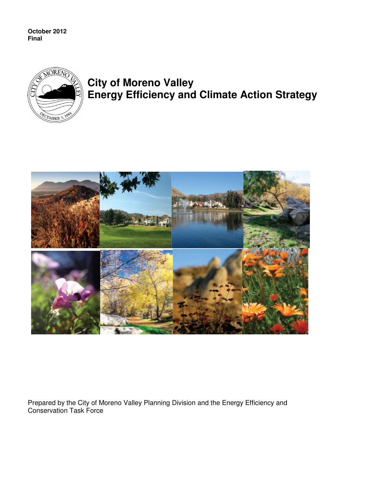**October 2012 Final** 



## **City of Moreno Valley Energy Efficiency and Climate Action Strategy**



Prepared by the City of Moreno Valley Planning Division and the Energy Efficiency and Conservation Task Force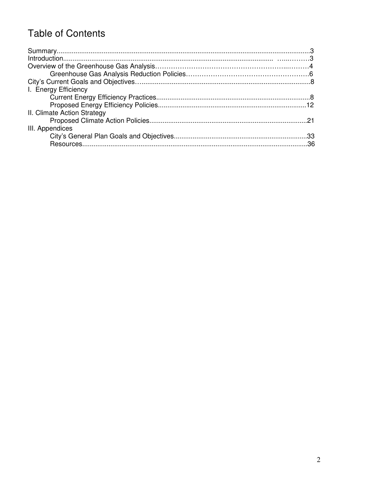## **Table of Contents**

| I. Energy Efficiency        |  |
|-----------------------------|--|
|                             |  |
|                             |  |
| II. Climate Action Strategy |  |
|                             |  |
| III. Appendices             |  |
|                             |  |
| Resources                   |  |
|                             |  |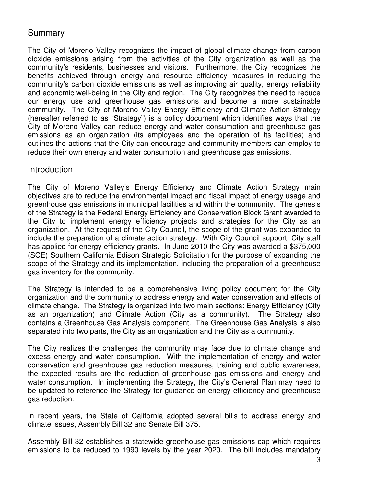### **Summary**

The City of Moreno Valley recognizes the impact of global climate change from carbon dioxide emissions arising from the activities of the City organization as well as the community's residents, businesses and visitors. Furthermore, the City recognizes the benefits achieved through energy and resource efficiency measures in reducing the community's carbon dioxide emissions as well as improving air quality, energy reliability and economic well-being in the City and region. The City recognizes the need to reduce our energy use and greenhouse gas emissions and become a more sustainable community. The City of Moreno Valley Energy Efficiency and Climate Action Strategy (hereafter referred to as "Strategy") is a policy document which identifies ways that the City of Moreno Valley can reduce energy and water consumption and greenhouse gas emissions as an organization (its employees and the operation of its facilities) and outlines the actions that the City can encourage and community members can employ to reduce their own energy and water consumption and greenhouse gas emissions.

#### Introduction

The City of Moreno Valley's Energy Efficiency and Climate Action Strategy main objectives are to reduce the environmental impact and fiscal impact of energy usage and greenhouse gas emissions in municipal facilities and within the community. The genesis of the Strategy is the Federal Energy Efficiency and Conservation Block Grant awarded to the City to implement energy efficiency projects and strategies for the City as an organization. At the request of the City Council, the scope of the grant was expanded to include the preparation of a climate action strategy. With City Council support, City staff has applied for energy efficiency grants. In June 2010 the City was awarded a \$375,000 (SCE) Southern California Edison Strategic Solicitation for the purpose of expanding the scope of the Strategy and its implementation, including the preparation of a greenhouse gas inventory for the community.

The Strategy is intended to be a comprehensive living policy document for the City organization and the community to address energy and water conservation and effects of climate change. The Strategy is organized into two main sections: Energy Efficiency (City as an organization) and Climate Action (City as a community). The Strategy also contains a Greenhouse Gas Analysis component. The Greenhouse Gas Analysis is also separated into two parts, the City as an organization and the City as a community.

The City realizes the challenges the community may face due to climate change and excess energy and water consumption. With the implementation of energy and water conservation and greenhouse gas reduction measures, training and public awareness, the expected results are the reduction of greenhouse gas emissions and energy and water consumption. In implementing the Strategy, the City's General Plan may need to be updated to reference the Strategy for guidance on energy efficiency and greenhouse gas reduction.

In recent years, the State of California adopted several bills to address energy and climate issues, Assembly Bill 32 and Senate Bill 375.

Assembly Bill 32 establishes a statewide greenhouse gas emissions cap which requires emissions to be reduced to 1990 levels by the year 2020. The bill includes mandatory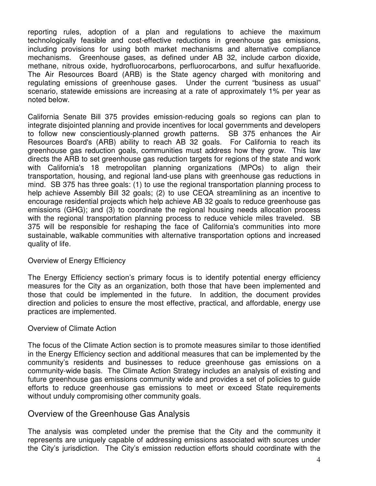reporting rules, adoption of a plan and regulations to achieve the maximum technologically feasible and cost-effective reductions in greenhouse gas emissions, including provisions for using both market mechanisms and alternative compliance mechanisms. Greenhouse gases, as defined under AB 32, include carbon dioxide, methane, nitrous oxide, hydrofluorocarbons, perfluorocarbons, and sulfur hexafluoride. The Air Resources Board (ARB) is the State agency charged with monitoring and regulating emissions of greenhouse gases. Under the current "business as usual" scenario, statewide emissions are increasing at a rate of approximately 1% per year as noted below.

California Senate Bill 375 provides emission-reducing goals so regions can plan to integrate disjointed planning and provide incentives for local governments and developers to follow new conscientiously-planned growth patterns. SB 375 enhances the Air Resources Board's (ARB) ability to reach AB 32 goals. For California to reach its greenhouse gas reduction goals, communities must address how they grow.This law directs the ARB to set greenhouse gas reduction targets for regions of the state and work with California's 18 metropolitan planning organizations (MPOs) to align their transportation, housing, and regional land-use plans with greenhouse gas reductions in mind. SB 375 has three goals: (1) to use the regional transportation planning process to help achieve Assembly Bill 32 goals; (2) to use CEQA streamlining as an incentive to encourage residential projects which help achieve AB 32 goals to reduce greenhouse gas emissions (GHG); and (3) to coordinate the regional housing needs allocation process with the regional transportation planning process to reduce vehicle miles traveled. SB 375 will be responsible for reshaping the face of California's communities into more sustainable, walkable communities with alternative transportation options and increased quality of life.

#### Overview of Energy Efficiency

The Energy Efficiency section's primary focus is to identify potential energy efficiency measures for the City as an organization, both those that have been implemented and those that could be implemented in the future. In addition, the document provides direction and policies to ensure the most effective, practical, and affordable, energy use practices are implemented.

#### Overview of Climate Action

The focus of the Climate Action section is to promote measures similar to those identified in the Energy Efficiency section and additional measures that can be implemented by the community's residents and businesses to reduce greenhouse gas emissions on a community-wide basis. The Climate Action Strategy includes an analysis of existing and future greenhouse gas emissions community wide and provides a set of policies to guide efforts to reduce greenhouse gas emissions to meet or exceed State requirements without unduly compromising other community goals.

#### Overview of the Greenhouse Gas Analysis

The analysis was completed under the premise that the City and the community it represents are uniquely capable of addressing emissions associated with sources under the City's jurisdiction. The City's emission reduction efforts should coordinate with the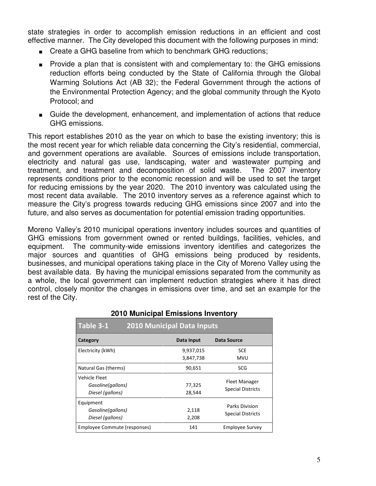state strategies in order to accomplish emission reductions in an efficient and cost effective manner. The City developed this document with the following purposes in mind:

- Create a GHG baseline from which to benchmark GHG reductions;
- Provide a plan that is consistent with and complementary to: the GHG emissions reduction efforts being conducted by the State of California through the Global Warming Solutions Act (AB 32); the Federal Government through the actions of the Environmental Protection Agency; and the global community through the Kyoto Protocol; and
- Guide the development, enhancement, and implementation of actions that reduce GHG emissions.

This report establishes 2010 as the year on which to base the existing inventory; this is the most recent year for which reliable data concerning the City's residential, commercial, and government operations are available. Sources of emissions include transportation, electricity and natural gas use, landscaping, water and wastewater pumping and treatment, and treatment and decomposition of solid waste. The 2007 inventory represents conditions prior to the economic recession and will be used to set the target for reducing emissions by the year 2020. The 2010 inventory was calculated using the most recent data available. The 2010 inventory serves as a reference against which to measure the City's progress towards reducing GHG emissions since 2007 and into the future, and also serves as documentation for potential emission trading opportunities.

Moreno Valley's 2010 municipal operations inventory includes sources and quantities of GHG emissions from government owned or rented buildings, facilities, vehicles, and equipment. The community-wide emissions inventory identifies and categorizes the major sources and quantities of GHG emissions being produced by residents, businesses, and municipal operations taking place in the City of Moreno Valley using the best available data. By having the municipal emissions separated from the community as a whole, the local government can implement reduction strategies where it has direct control, closely monitor the changes in emissions over time, and set an example for the rest of the City.

| Table 3-1<br><b>2010 Municipal Data Inputs</b>         |                        |                                                  |  |  |  |  |  |  |
|--------------------------------------------------------|------------------------|--------------------------------------------------|--|--|--|--|--|--|
| Category                                               | Data Input             | Data Source                                      |  |  |  |  |  |  |
| Electricity (kWh)                                      | 9,937,015<br>3,847,738 | <b>SCE</b><br>MVU                                |  |  |  |  |  |  |
| Natural Gas (therms)                                   | 90,651                 | SCG                                              |  |  |  |  |  |  |
| Vehicle Fleet<br>Gasoline(gallons)<br>Diesel (gallons) | 77,325<br>28,544       | <b>Fleet Manager</b><br><b>Special Districts</b> |  |  |  |  |  |  |
| Equipment<br>Gasoline(gallons)<br>Diesel (gallons)     | 2,118<br>2,208         | Parks Division<br><b>Special Districts</b>       |  |  |  |  |  |  |
| Employee Commute (responses)                           | 141                    | <b>Employee Survey</b>                           |  |  |  |  |  |  |

#### **2010 Municipal Emissions Inventory**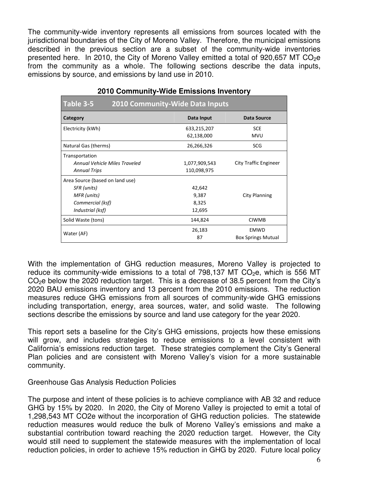The community-wide inventory represents all emissions from sources located with the jurisdictional boundaries of the City of Moreno Valley. Therefore, the municipal emissions described in the previous section are a subset of the community-wide inventories presented here. In 2010, the City of Moreno Valley emitted a total of 920,657 MT  $CO<sub>2</sub>e$ from the community as a whole. The following sections describe the data inputs, emissions by source, and emissions by land use in 2010.

| Table 3-5<br><b>2010 Community-Wide Data Inputs</b> |               |                              |  |  |  |  |  |  |  |
|-----------------------------------------------------|---------------|------------------------------|--|--|--|--|--|--|--|
| Category                                            | Data Input    | Data Source                  |  |  |  |  |  |  |  |
| Electricity (kWh)                                   | 633,215,207   | <b>SCE</b>                   |  |  |  |  |  |  |  |
|                                                     | 62,138,000    | <b>MVU</b>                   |  |  |  |  |  |  |  |
| Natural Gas (therms)                                | 26,266,326    | <b>SCG</b>                   |  |  |  |  |  |  |  |
| Transportation                                      |               |                              |  |  |  |  |  |  |  |
| Annual Vehicle Miles Traveled                       | 1,077,909,543 | <b>City Traffic Engineer</b> |  |  |  |  |  |  |  |
| <b>Annual Trips</b>                                 | 110,098,975   |                              |  |  |  |  |  |  |  |
| Area Source (based on land use)                     |               |                              |  |  |  |  |  |  |  |
| SFR (units)                                         | 42,642        |                              |  |  |  |  |  |  |  |
| MFR (units)                                         | 9,387         | City Planning                |  |  |  |  |  |  |  |
| Commercial (ksf)                                    | 8,325         |                              |  |  |  |  |  |  |  |
| Industrial (ksf)                                    | 12,695        |                              |  |  |  |  |  |  |  |
| Solid Waste (tons)                                  | 144,824       | <b>CIWMB</b>                 |  |  |  |  |  |  |  |
| Water (AF)                                          | 26,183        | EMWD                         |  |  |  |  |  |  |  |
|                                                     | 87            | <b>Box Springs Mutual</b>    |  |  |  |  |  |  |  |

#### **2010 Community-Wide Emissions Inventory**

With the implementation of GHG reduction measures, Moreno Valley is projected to reduce its community-wide emissions to a total of  $798,137$  MT  $CO<sub>2</sub>e$ , which is 556 MT  $CO<sub>2</sub>e$  below the 2020 reduction target. This is a decrease of 38.5 percent from the City's 2020 BAU emissions inventory and 13 percent from the 2010 emissions. The reduction measures reduce GHG emissions from all sources of community-wide GHG emissions including transportation, energy, area sources, water, and solid waste. The following sections describe the emissions by source and land use category for the year 2020.

This report sets a baseline for the City's GHG emissions, projects how these emissions will grow, and includes strategies to reduce emissions to a level consistent with California's emissions reduction target. These strategies complement the City's General Plan policies and are consistent with Moreno Valley's vision for a more sustainable community.

#### Greenhouse Gas Analysis Reduction Policies

The purpose and intent of these policies is to achieve compliance with AB 32 and reduce GHG by 15% by 2020. In 2020, the City of Moreno Valley is projected to emit a total of 1,298,543 MT CO2e without the incorporation of GHG reduction policies. The statewide reduction measures would reduce the bulk of Moreno Valley's emissions and make a substantial contribution toward reaching the 2020 reduction target. However, the City would still need to supplement the statewide measures with the implementation of local reduction policies, in order to achieve 15% reduction in GHG by 2020. Future local policy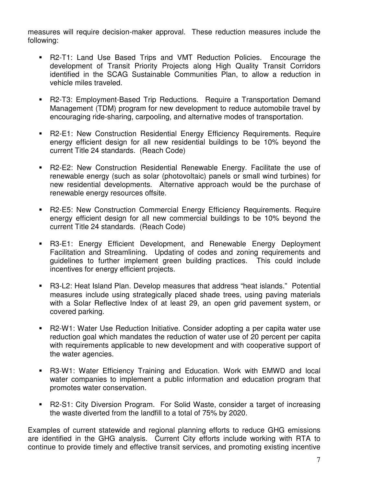measures will require decision-maker approval. These reduction measures include the following:

- R2-T1: Land Use Based Trips and VMT Reduction Policies. Encourage the development of Transit Priority Projects along High Quality Transit Corridors identified in the SCAG Sustainable Communities Plan, to allow a reduction in vehicle miles traveled.
- R2-T3: Employment-Based Trip Reductions. Require a Transportation Demand Management (TDM) program for new development to reduce automobile travel by encouraging ride-sharing, carpooling, and alternative modes of transportation.
- R2-E1: New Construction Residential Energy Efficiency Requirements. Require energy efficient design for all new residential buildings to be 10% beyond the current Title 24 standards. (Reach Code)
- R2-E2: New Construction Residential Renewable Energy. Facilitate the use of renewable energy (such as solar (photovoltaic) panels or small wind turbines) for new residential developments. Alternative approach would be the purchase of renewable energy resources offsite.
- R2-E5: New Construction Commercial Energy Efficiency Requirements. Require energy efficient design for all new commercial buildings to be 10% beyond the current Title 24 standards. (Reach Code)
- R3-E1: Energy Efficient Development, and Renewable Energy Deployment Facilitation and Streamlining. Updating of codes and zoning requirements and guidelines to further implement green building practices. This could include incentives for energy efficient projects.
- R3-L2: Heat Island Plan. Develop measures that address "heat islands." Potential measures include using strategically placed shade trees, using paving materials with a Solar Reflective Index of at least 29, an open grid pavement system, or covered parking.
- R2-W1: Water Use Reduction Initiative. Consider adopting a per capita water use reduction goal which mandates the reduction of water use of 20 percent per capita with requirements applicable to new development and with cooperative support of the water agencies.
- R3-W1: Water Efficiency Training and Education. Work with EMWD and local water companies to implement a public information and education program that promotes water conservation.
- R2-S1: City Diversion Program. For Solid Waste, consider a target of increasing the waste diverted from the landfill to a total of 75% by 2020.

Examples of current statewide and regional planning efforts to reduce GHG emissions are identified in the GHG analysis. Current City efforts include working with RTA to continue to provide timely and effective transit services, and promoting existing incentive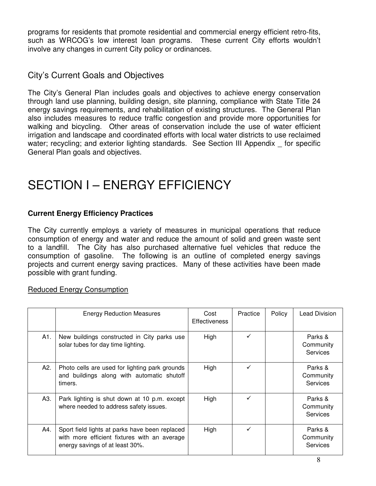programs for residents that promote residential and commercial energy efficient retro-fits, such as WRCOG's low interest loan programs. These current City efforts wouldn't involve any changes in current City policy or ordinances.

### City's Current Goals and Objectives

The City's General Plan includes goals and objectives to achieve energy conservation through land use planning, building design, site planning, compliance with State Title 24 energy savings requirements, and rehabilitation of existing structures. The General Plan also includes measures to reduce traffic congestion and provide more opportunities for walking and bicycling. Other areas of conservation include the use of water efficient irrigation and landscape and coordinated efforts with local water districts to use reclaimed water; recycling; and exterior lighting standards. See Section III Appendix for specific General Plan goals and objectives.

## SECTION I – ENERGY EFFICIENCY

#### **Current Energy Efficiency Practices**

The City currently employs a variety of measures in municipal operations that reduce consumption of energy and water and reduce the amount of solid and green waste sent to a landfill. The City has also purchased alternative fuel vehicles that reduce the consumption of gasoline. The following is an outline of completed energy savings projects and current energy saving practices. Many of these activities have been made possible with grant funding.

#### Reduced Energy Consumption

|     | <b>Energy Reduction Measures</b>                                                                                                  | Cost<br><b>Effectiveness</b> | Practice     | Policy | Lead Division                           |
|-----|-----------------------------------------------------------------------------------------------------------------------------------|------------------------------|--------------|--------|-----------------------------------------|
| A1. | New buildings constructed in City parks use<br>solar tubes for day time lighting.                                                 | High                         | $\checkmark$ |        | Parks &<br>Community<br>Services        |
| A2. | Photo cells are used for lighting park grounds<br>and buildings along with automatic shutoff<br>timers.                           | High                         | $\checkmark$ |        | Parks &<br>Community<br>Services        |
| A3. | Park lighting is shut down at 10 p.m. except<br>where needed to address safety issues.                                            | High                         | ✓            |        | Parks &<br>Community<br>Services        |
| A4. | Sport field lights at parks have been replaced<br>with more efficient fixtures with an average<br>energy savings of at least 30%. | High                         | $\checkmark$ |        | Parks &<br>Community<br><b>Services</b> |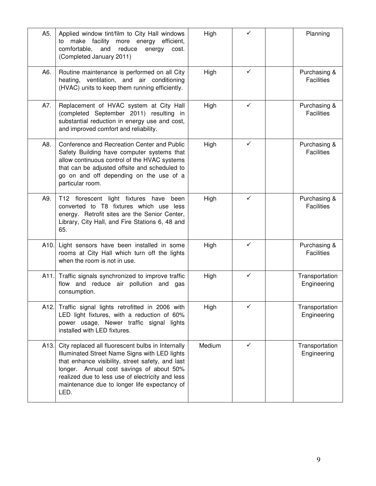| A5.  | Applied window tint/film to City Hall windows<br>make facility more energy<br>efficient,<br>to<br>and<br>comfortable,<br>reduce<br>energy<br>cost.<br>(Completed January 2011)                                                                                                                                 | High   | ✓            | Planning                          |
|------|----------------------------------------------------------------------------------------------------------------------------------------------------------------------------------------------------------------------------------------------------------------------------------------------------------------|--------|--------------|-----------------------------------|
| A6.  | Routine maintenance is performed on all City<br>heating, ventilation, and air conditioning<br>(HVAC) units to keep them running efficiently.                                                                                                                                                                   | High   | ✓            | Purchasing &<br><b>Facilities</b> |
| A7.  | Replacement of HVAC system at City Hall<br>(completed September 2011) resulting in<br>substantial reduction in energy use and cost,<br>and improved comfort and reliability.                                                                                                                                   | High   | ✓            | Purchasing &<br><b>Facilities</b> |
| A8.  | Conference and Recreation Center and Public<br>Safety Building have computer systems that<br>allow continuous control of the HVAC systems<br>that can be adjusted offsite and scheduled to<br>go on and off depending on the use of a<br>particular room.                                                      | High   | ✓            | Purchasing &<br><b>Facilities</b> |
| A9.  | T12 florescent light fixtures have been<br>converted to T8 fixtures which use less<br>energy. Retrofit sites are the Senior Center,<br>Library, City Hall, and Fire Stations 6, 48 and<br>65.                                                                                                                  | High   | ✓            | Purchasing &<br><b>Facilities</b> |
| A10. | Light sensors have been installed in some<br>rooms at City Hall which turn off the lights<br>when the room is not in use.                                                                                                                                                                                      | High   | ✓            | Purchasing &<br><b>Facilities</b> |
|      | A11. Traffic signals synchronized to improve traffic<br>flow and reduce air pollution and gas<br>consumption.                                                                                                                                                                                                  | High   | $\checkmark$ | Transportation<br>Engineering     |
| A12. | Traffic signal lights retrofitted in 2006 with<br>LED light fixtures, with a reduction of 60%<br>power usage. Newer traffic signal lights<br>installed with LED fixtures.                                                                                                                                      | High   | ✓            | Transportation<br>Engineering     |
| A13. | City replaced all fluorescent bulbs in Internally<br>Illuminated Street Name Signs with LED lights<br>that enhance visibility, street safety, and last<br>longer. Annual cost savings of about 50%<br>realized due to less use of electricity and less<br>maintenance due to longer life expectancy of<br>LED. | Medium | $\checkmark$ | Transportation<br>Engineering     |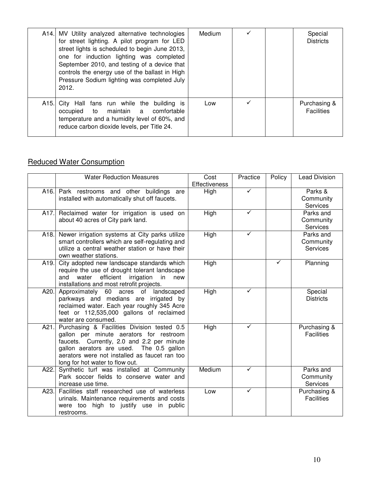|                   | A14. MV Utility analyzed alternative technologies<br>for street lighting. A pilot program for LED<br>street lights is scheduled to begin June 2013,<br>one for induction lighting was completed<br>September 2010, and testing of a device that<br>controls the energy use of the ballast in High<br>Pressure Sodium lighting was completed July<br>2012. | Medium |   | Special<br><b>Districts</b>       |
|-------------------|-----------------------------------------------------------------------------------------------------------------------------------------------------------------------------------------------------------------------------------------------------------------------------------------------------------------------------------------------------------|--------|---|-----------------------------------|
| A <sub>15</sub> . | City Hall fans run while the building is<br>occupied to maintain a comfortable<br>temperature and a humidity level of 60%, and<br>reduce carbon dioxide levels, per Title 24.                                                                                                                                                                             | Low    | ✓ | Purchasing &<br><b>Facilities</b> |

### Reduced Water Consumption

|      | <b>Water Reduction Measures</b>                                                                                                                                                                                                                                      | Cost<br><b>Effectiveness</b> | Practice     | Policy | <b>Lead Division</b>                      |
|------|----------------------------------------------------------------------------------------------------------------------------------------------------------------------------------------------------------------------------------------------------------------------|------------------------------|--------------|--------|-------------------------------------------|
|      | A16. Park restrooms and other buildings are<br>installed with automatically shut off faucets.                                                                                                                                                                        | High                         | $\checkmark$ |        | Parks &<br>Community<br>Services          |
| A17. | Reclaimed water for irrigation is used on<br>about 40 acres of City park land.                                                                                                                                                                                       | High                         | ✓            |        | Parks and<br>Community<br><b>Services</b> |
| A18. | Newer irrigation systems at City parks utilize<br>smart controllers which are self-regulating and<br>utilize a central weather station or have their<br>own weather stations.                                                                                        | High                         | ✓            |        | Parks and<br>Community<br><b>Services</b> |
| A19. | City adopted new landscape standards which<br>require the use of drought tolerant landscape<br>water<br>efficient irrigation<br>in<br>and<br>new<br>installations and most retrofit projects.                                                                        | High                         |              |        | Planning                                  |
| A20. | Approximately 60 acres of landscaped<br>parkways and medians are irrigated by<br>reclaimed water. Each year roughly 345 Acre<br>feet or 112,535,000 gallons of reclaimed<br>water are consumed.                                                                      | High                         | ✓            |        | Special<br><b>Districts</b>               |
| A21. | Purchasing & Facilities Division tested 0.5<br>gallon per minute aerators for restroom<br>faucets. Currently, 2.0 and 2.2 per minute<br>gallon aerators are used. The 0.5 gallon<br>aerators were not installed as faucet ran too<br>long for hot water to flow out. | High                         | ✓            |        | Purchasing &<br><b>Facilities</b>         |
| A22. | Synthetic turf was installed at Community<br>Park soccer fields to conserve water and<br>increase use time.                                                                                                                                                          | Medium                       | $\checkmark$ |        | Parks and<br>Community<br>Services        |
| A23. | Facilities staff researched use of waterless<br>urinals. Maintenance requirements and costs<br>were too high to justify use in public<br>restrooms.                                                                                                                  | Low                          | ✓            |        | Purchasing &<br><b>Facilities</b>         |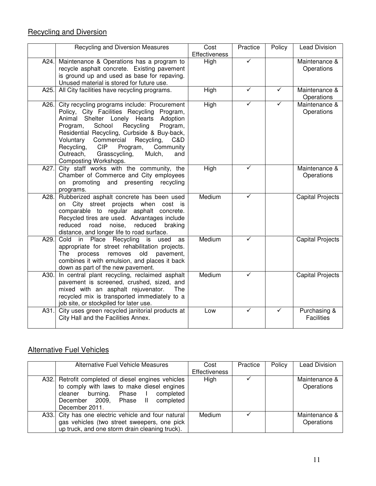## Recycling and Diversion

|       | Recycling and Diversion Measures                                                                                                                                                                                                                                                                                                                                                                               | Cost<br>Effectiveness | Practice     | Policy | <b>Lead Division</b>              |
|-------|----------------------------------------------------------------------------------------------------------------------------------------------------------------------------------------------------------------------------------------------------------------------------------------------------------------------------------------------------------------------------------------------------------------|-----------------------|--------------|--------|-----------------------------------|
| A24.I | Maintenance & Operations has a program to<br>recycle asphalt concrete. Existing pavement<br>is ground up and used as base for repaving.<br>Unused material is stored for future use.                                                                                                                                                                                                                           | High                  | $\checkmark$ |        | Maintenance &<br>Operations       |
| A25.  | All City facilities have recycling programs.                                                                                                                                                                                                                                                                                                                                                                   | <b>High</b>           | ✓            | ✓      | Maintenance &<br>Operations       |
| A26.  | City recycling programs include: Procurement<br>Policy, City Facilities Recycling Program,<br>Animal Shelter Lonely Hearts Adoption<br>School<br>Recycling<br>Program,<br>Program,<br>Residential Recycling, Curbside & Buy-back,<br>Commercial<br>Recycling,<br>Voluntary<br>C&D<br>Recycling,<br><b>CIP</b><br>Program,<br>Community<br>Outreach,<br>Grasscycling,<br>Mulch,<br>and<br>Composting Workshops. | High                  |              | ✓      | Maintenance &<br>Operations       |
| A27.  | City staff works with the community, the<br>Chamber of Commerce and City employees<br>on promoting and presenting recycling<br>programs.                                                                                                                                                                                                                                                                       | High                  | ✓            |        | Maintenance &<br>Operations       |
| A28.  | Rubberized asphalt concrete has been used<br>City street projects when<br>on<br>cost is<br>comparable to regular asphalt concrete.<br>Recycled tires are used. Advantages include<br>road<br>noise, reduced<br>reduced<br>braking<br>distance, and longer life to road surface.                                                                                                                                | Medium                | ✓            |        | <b>Capital Projects</b>           |
| A29.  | in Place Recycling is<br>Cold<br>used<br>as<br>appropriate for street rehabilitation projects.<br>pavement,<br><b>The</b><br>process<br>removes<br>old<br>combines it with emulsion, and places it back<br>down as part of the new pavement.                                                                                                                                                                   | Medium                | ✓            |        | <b>Capital Projects</b>           |
| A30.  | In central plant recycling, reclaimed asphalt<br>pavement is screened, crushed, sized, and<br>mixed with an asphalt rejuvenator.<br>The<br>recycled mix is transported immediately to a<br>job site, or stockpiled for later use.                                                                                                                                                                              | Medium                | ✓            |        | <b>Capital Projects</b>           |
| A31.  | City uses green recycled janitorial products at<br>City Hall and the Facilities Annex.                                                                                                                                                                                                                                                                                                                         | Low                   | ✓            | ✓      | Purchasing &<br><b>Facilities</b> |

## Alternative Fuel Vehicles

| Alternative Fuel Vehicle Measures                   | Cost<br><b>Effectiveness</b> | Practice | Policy | <b>Lead Division</b> |
|-----------------------------------------------------|------------------------------|----------|--------|----------------------|
|                                                     |                              |          |        |                      |
| A32. Retrofit completed of diesel engines vehicles  | High                         |          |        | Maintenance &        |
| to comply with laws to make diesel engines          |                              |          |        | Operations           |
| burning. Phase I<br>completed<br>cleaner            |                              |          |        |                      |
| December 2009, Phase II<br>completed                |                              |          |        |                      |
| December 2011.                                      |                              |          |        |                      |
| A33. City has one electric vehicle and four natural | Medium                       |          |        | Maintenance &        |
| gas vehicles (two street sweepers, one pick         |                              |          |        | Operations           |
| up truck, and one storm drain cleaning truck).      |                              |          |        |                      |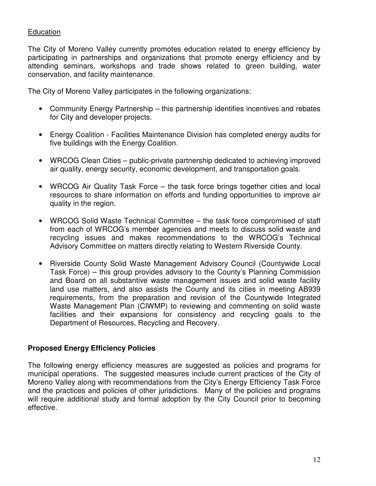#### **Education**

The City of Moreno Valley currently promotes education related to energy efficiency by participating in partnerships and organizations that promote energy efficiency and by attending seminars, workshops and trade shows related to green building, water conservation, and facility maintenance.

The City of Moreno Valley participates in the following organizations:

- Community Energy Partnership this partnership identifies incentives and rebates for City and developer projects.
- Energy Coalition Facilities Maintenance Division has completed energy audits for five buildings with the Energy Coalition.
- WRCOG Clean Cities public-private partnership dedicated to achieving improved air quality, energy security, economic development, and transportation goals.
- WRCOG Air Quality Task Force the task force brings together cities and local resources to share information on efforts and funding opportunities to improve air quality in the region.
- WRCOG Solid Waste Technical Committee the task force compromised of staff from each of WRCOG's member agencies and meets to discuss solid waste and recycling issues and makes recommendations to the WRCOG's Technical Advisory Committee on matters directly relating to Western Riverside County.
- Riverside County Solid Waste Management Advisory Council (Countywide Local Task Force) – this group provides advisory to the County's Planning Commission and Board on all substantive waste management issues and solid waste facility land use matters, and also assists the County and its cities in meeting AB939 requirements, from the preparation and revision of the Countywide Integrated Waste Management Plan (CIWMP) to reviewing and commenting on solid waste facilities and their expansions for consistency and recycling goals to the Department of Resources, Recycling and Recovery.

#### **Proposed Energy Efficiency Policies**

The following energy efficiency measures are suggested as policies and programs for municipal operations. The suggested measures include current practices of the City of Moreno Valley along with recommendations from the City's Energy Efficiency Task Force and the practices and policies of other jurisdictions. Many of the policies and programs will require additional study and formal adoption by the City Council prior to becoming effective.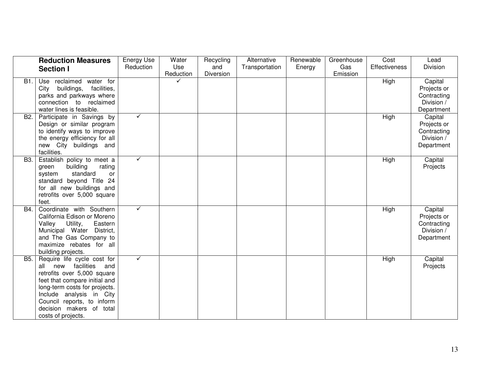|                  | <b>Reduction Measures</b>                                                                                                                                                                                                                                             | Energy Use | Water     | Recycling | Alternative    | Renewable | Greenhouse | Cost          | Lead                                                              |
|------------------|-----------------------------------------------------------------------------------------------------------------------------------------------------------------------------------------------------------------------------------------------------------------------|------------|-----------|-----------|----------------|-----------|------------|---------------|-------------------------------------------------------------------|
|                  | <b>Section I</b>                                                                                                                                                                                                                                                      | Reduction  | Use       | and       | Transportation | Energy    | Gas        | Effectiveness | Division                                                          |
|                  |                                                                                                                                                                                                                                                                       |            | Reduction | Diversion |                |           | Emission   |               |                                                                   |
| B1.              | Use reclaimed<br>water for<br>buildings,<br>facilities,<br>City<br>parks and parkways where<br>connection to reclaimed<br>water lines is feasible.                                                                                                                    |            |           |           |                |           |            | High          | Capital<br>Projects or<br>Contracting<br>Division /<br>Department |
| B <sub>2</sub> . | Participate in Savings by<br>Design or similar program<br>to identify ways to improve<br>the energy efficiency for all<br>new City buildings and<br>facilities.                                                                                                       | ✓          |           |           |                |           |            | High          | Capital<br>Projects or<br>Contracting<br>Division /<br>Department |
| B3.              | Establish policy to meet a<br>building<br>rating<br>green<br>standard<br><b>or</b><br>system<br>standard beyond Title 24<br>for all new buildings and<br>retrofits over 5,000 square<br>feet.                                                                         | ✓          |           |           |                |           |            | High          | Capital<br>Projects                                               |
| B4.              | Coordinate with Southern<br>California Edison or Moreno<br>Utility,<br>Valley<br>Eastern<br>Municipal Water<br>District,<br>and The Gas Company to<br>maximize rebates for all<br>building projects.                                                                  | ✓          |           |           |                |           |            | High          | Capital<br>Projects or<br>Contracting<br>Division /<br>Department |
| B5.              | Require life cycle cost for<br>all new facilities<br>and<br>retrofits over 5,000 square<br>feet that compare initial and<br>long-term costs for projects.<br>Include analysis in City<br>Council reports, to inform<br>decision makers of total<br>costs of projects. | ✓          |           |           |                |           |            | High          | Capital<br>Projects                                               |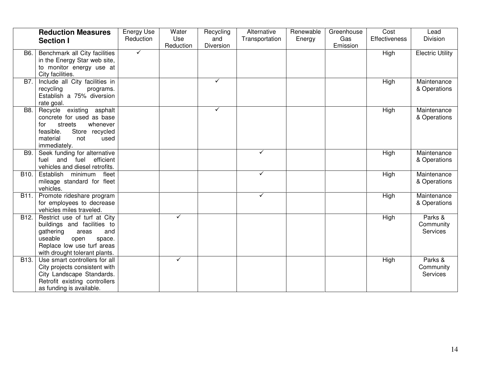|                   | <b>Reduction Measures</b><br><b>Section I</b>                                                                                                                                        | Energy Use<br>Reduction | Water<br>Use<br>Reduction | Recycling<br>and<br>Diversion | Alternative<br>Transportation | Renewable<br>Energy | Greenhouse<br>Gas<br>Emission | Cost<br><b>Effectiveness</b> | Lead<br>Division                 |
|-------------------|--------------------------------------------------------------------------------------------------------------------------------------------------------------------------------------|-------------------------|---------------------------|-------------------------------|-------------------------------|---------------------|-------------------------------|------------------------------|----------------------------------|
| <b>B6.</b>        | Benchmark all City facilities<br>in the Energy Star web site,<br>to monitor energy use at<br>City facilities.                                                                        | $\checkmark$            |                           |                               |                               |                     |                               | High                         | <b>Electric Utility</b>          |
| B7.               | Include all City facilities in<br>recycling<br>programs.<br>Establish a 75% diversion<br>rate goal.                                                                                  |                         |                           | ✓                             |                               |                     |                               | High                         | Maintenance<br>& Operations      |
| B <sub>8</sub>    | Recycle existing asphalt<br>concrete for used as base<br>whenever<br>for<br>streets<br>feasible.<br>Store recycled<br>material<br>not<br>used<br>immediately.                        |                         |                           | ✓                             |                               |                     |                               | High                         | Maintenance<br>& Operations      |
| <b>B9.</b>        | Seek funding for alternative<br>and fuel<br>efficient<br>fuel<br>vehicles and diesel retrofits.                                                                                      |                         |                           |                               | $\checkmark$                  |                     |                               | High                         | Maintenance<br>& Operations      |
| B <sub>10</sub> . | Establish minimum fleet<br>mileage standard for fleet<br>vehicles.                                                                                                                   |                         |                           |                               | $\checkmark$                  |                     |                               | High                         | Maintenance<br>& Operations      |
| B11.              | Promote rideshare program<br>for employees to decrease<br>vehicles miles traveled.                                                                                                   |                         |                           |                               | $\checkmark$                  |                     |                               | High                         | Maintenance<br>& Operations      |
| B12.              | Restrict use of turf at City<br>buildings and facilities to<br>gathering<br>and<br>areas<br>useable<br>open<br>space.<br>Replace low use turf areas<br>with drought tolerant plants. |                         | ✓                         |                               |                               |                     |                               | High                         | Parks &<br>Community<br>Services |
| B <sub>13</sub> . | Use smart controllers for all<br>City projects consistent with<br>City Landscape Standards.<br>Retrofit existing controllers<br>as funding is available.                             |                         | $\checkmark$              |                               |                               |                     |                               | <b>High</b>                  | Parks &<br>Community<br>Services |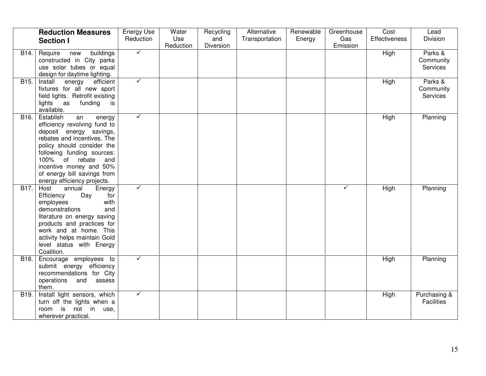|                   | <b>Reduction Measures</b><br><b>Section I</b>                                                                                                                                                                                                                                                     | <b>Energy Use</b><br>Reduction | Water<br>Use<br>Reduction | Recycling<br>and<br>Diversion | Alternative<br>Transportation | Renewable<br>Energy | Greenhouse<br>Gas<br>Emission | Cost<br><b>Effectiveness</b> | Lead<br>Division                 |
|-------------------|---------------------------------------------------------------------------------------------------------------------------------------------------------------------------------------------------------------------------------------------------------------------------------------------------|--------------------------------|---------------------------|-------------------------------|-------------------------------|---------------------|-------------------------------|------------------------------|----------------------------------|
| B14.              | Require<br>buildings<br>new<br>constructed in City parks<br>use solar tubes or equal<br>design for daytime lighting.                                                                                                                                                                              | $\checkmark$                   |                           |                               |                               |                     |                               | <b>High</b>                  | Parks &<br>Community<br>Services |
| B <sub>15</sub> . | Install<br>efficient<br>energy<br>fixtures for all new sport<br>field lights. Retrofit existing<br>lights as<br>funding<br>is<br>available.                                                                                                                                                       | $\checkmark$                   |                           |                               |                               |                     |                               | High                         | Parks &<br>Community<br>Services |
| B <sub>16</sub> . | Establish<br>an<br>energy<br>efficiency revolving fund to<br>deposit energy savings,<br>rebates and incentives. The<br>policy should consider the<br>following funding sources:<br>100% of rebate<br>and<br>incentive money and 50%<br>of energy bill savings from<br>energy efficiency projects. | $\checkmark$                   |                           |                               |                               |                     |                               | High                         | Planning                         |
| B17.              | Host<br>annual<br>Energy<br>Efficiency<br>Day<br>for<br>employees<br>with<br>demonstrations<br>and<br>literature on energy saving<br>products and practices for<br>work and at home. This<br>activity helps maintain Gold<br>level status with Energy<br>Coalition.                               | $\checkmark$                   |                           |                               |                               |                     | ✓                             | High                         | Planning                         |
| B <sub>18</sub> . | Encourage employees to<br>submit energy efficiency<br>recommendations for City<br>operations<br>and<br>assess<br>them.                                                                                                                                                                            | $\checkmark$                   |                           |                               |                               |                     |                               | High                         | Planning                         |
| B <sub>19</sub> . | Install light sensors, which<br>turn off the lights when a<br>is<br>not in use,<br>room<br>wherever practical.                                                                                                                                                                                    | $\checkmark$                   |                           |                               |                               |                     |                               | High                         | Purchasing &<br>Facilities       |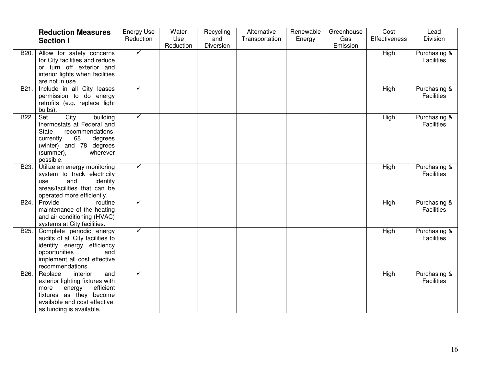|      | <b>Reduction Measures</b><br><b>Section I</b>                                                                                                                                            | <b>Energy Use</b><br>Reduction | Water<br>Use<br>Reduction | Recycling<br>and<br>Diversion | Alternative<br>Transportation | Renewable<br>Energy | Greenhouse<br>Gas<br>Emission | Cost<br><b>Effectiveness</b> | Lead<br>Division                  |
|------|------------------------------------------------------------------------------------------------------------------------------------------------------------------------------------------|--------------------------------|---------------------------|-------------------------------|-------------------------------|---------------------|-------------------------------|------------------------------|-----------------------------------|
| B20. | Allow for safety concerns<br>for City facilities and reduce<br>or turn off exterior and<br>interior lights when facilities<br>are not in use.                                            | $\checkmark$                   |                           |                               |                               |                     |                               | High                         | Purchasing &<br><b>Facilities</b> |
| B21. | Include in all City leases<br>permission to do energy<br>retrofits (e.g. replace light<br>bulbs).                                                                                        | $\checkmark$                   |                           |                               |                               |                     |                               | High                         | Purchasing &<br><b>Facilities</b> |
| B22. | City<br>building<br>Set<br>thermostats at Federal and<br><b>State</b><br>recommendations,<br>currently<br>68<br>degrees<br>(winter) and 78 degrees<br>(summer),<br>wherever<br>possible. | ✓                              |                           |                               |                               |                     |                               | High                         | Purchasing &<br><b>Facilities</b> |
| B23. | Utilize an energy monitoring<br>system to track electricity<br>identify<br>and<br>use<br>areas/facilities that can be<br>operated more efficiently.                                      | $\checkmark$                   |                           |                               |                               |                     |                               | High                         | Purchasing &<br><b>Facilities</b> |
| B24. | Provide<br>routine<br>maintenance of the heating<br>and air conditioning (HVAC)<br>systems at City facilities.                                                                           | ✓                              |                           |                               |                               |                     |                               | High                         | Purchasing &<br><b>Facilities</b> |
| B25. | Complete periodic energy<br>audits of all City facilities to<br>identify energy efficiency<br>opportunities<br>and<br>implement all cost effective<br>recommendations.                   | $\checkmark$                   |                           |                               |                               |                     |                               | High                         | Purchasing &<br><b>Facilities</b> |
| B26. | Replace<br>interior<br>and<br>exterior lighting fixtures with<br>efficient<br>energy<br>more<br>fixtures as they become<br>available and cost effective,<br>as funding is available.     | $\checkmark$                   |                           |                               |                               |                     |                               | High                         | Purchasing &<br><b>Facilities</b> |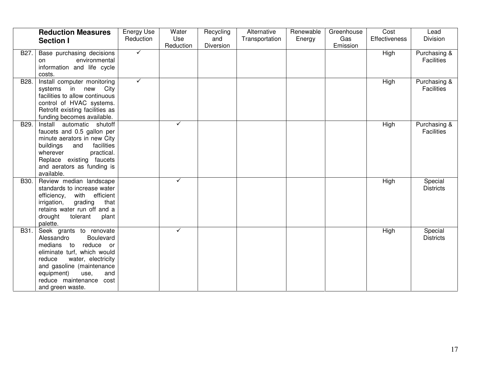|      | <b>Reduction Measures</b><br><b>Section I</b>                                                                                                                                                                                                         | Energy Use<br>Reduction | Water<br>Use<br>Reduction | Recycling<br>and<br>Diversion | Alternative<br>Transportation | Renewable<br>Energy | Greenhouse<br>Gas<br>Emission | Cost<br><b>Effectiveness</b> | Lead<br>Division                  |
|------|-------------------------------------------------------------------------------------------------------------------------------------------------------------------------------------------------------------------------------------------------------|-------------------------|---------------------------|-------------------------------|-------------------------------|---------------------|-------------------------------|------------------------------|-----------------------------------|
| B27. | Base purchasing decisions<br>environmental<br>on<br>information and life cycle<br>costs.                                                                                                                                                              | $\checkmark$            |                           |                               |                               |                     |                               | High                         | Purchasing &<br><b>Facilities</b> |
| B28. | Install computer monitoring<br>systems in new City<br>facilities to allow continuous<br>control of HVAC systems.<br>Retrofit existing facilities as<br>funding becomes available.                                                                     | $\checkmark$            |                           |                               |                               |                     |                               | High                         | Purchasing &<br><b>Facilities</b> |
| B29. | Install automatic shutoff<br>faucets and 0.5 gallon per<br>minute aerators in new City<br>buildings<br>facilities<br>and<br>practical.<br>wherever<br>Replace existing faucets<br>and aerators as funding is<br>available.                            |                         | $\checkmark$              |                               |                               |                     |                               | High                         | Purchasing &<br><b>Facilities</b> |
| B30. | Review median landscape<br>standards to increase water<br>with efficient<br>efficiency,<br>grading<br>irrigation,<br>that<br>retains water run off and a<br>drought<br>tolerant<br>plant<br>palette.                                                  |                         | ✓                         |                               |                               |                     |                               | High                         | Special<br><b>Districts</b>       |
| B31. | Seek grants to renovate<br>Boulevard<br>Alessandro<br>medians to<br>reduce or<br>eliminate turf, which would<br>water, electricity<br>reduce<br>and gasoline (maintenance<br>and<br>equipment)<br>use,<br>reduce maintenance cost<br>and green waste. |                         | ✓                         |                               |                               |                     |                               | High                         | Special<br><b>Districts</b>       |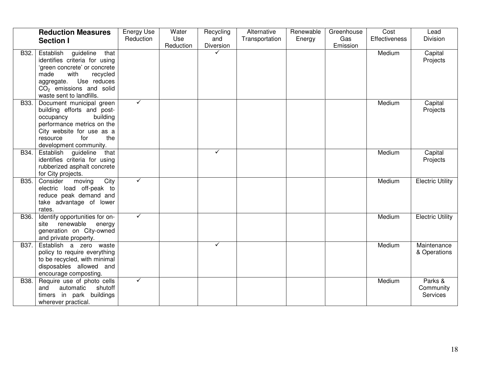|      | <b>Reduction Measures</b><br><b>Section I</b>                                                                                                                                                               | <b>Energy Use</b><br>Reduction | Water<br>Use | Recycling<br>and | Alternative<br>Transportation | Renewable<br>Energy | Greenhouse<br>Gas | Cost<br><b>Effectiveness</b> | Lead<br>Division                 |
|------|-------------------------------------------------------------------------------------------------------------------------------------------------------------------------------------------------------------|--------------------------------|--------------|------------------|-------------------------------|---------------------|-------------------|------------------------------|----------------------------------|
|      |                                                                                                                                                                                                             |                                | Reduction    | Diversion        |                               |                     | Emission          |                              |                                  |
| B32. | Establish guideline<br>that<br>identifies criteria for using<br>'green concrete' or concrete<br>made<br>with<br>recycled<br>aggregate. Use reduces<br>$CO2$ emissions and solid<br>waste sent to landfills. |                                |              | $\checkmark$     |                               |                     |                   | Medium                       | Capital<br>Projects              |
| B33. | Document municipal green<br>building efforts and post-<br>building<br>occupancy<br>performance metrics on the<br>City website for use as a<br>the<br>resource<br>for<br>development community.              | $\checkmark$                   |              |                  |                               |                     |                   | Medium                       | Capital<br>Projects              |
| B34. | Establish guideline<br>that<br>identifies criteria for using<br>rubberized asphalt concrete<br>for City projects.                                                                                           |                                |              | $\checkmark$     |                               |                     |                   | Medium                       | Capital<br>Projects              |
| B35. | moving<br>City<br>Consider<br>electric load off-peak to<br>reduce peak demand and<br>take advantage of lower<br>rates.                                                                                      | $\checkmark$                   |              |                  |                               |                     |                   | Medium                       | <b>Electric Utility</b>          |
| B36. | Identify opportunities for on-<br>renewable energy<br>site<br>generation on City-owned<br>and private property.                                                                                             | $\checkmark$                   |              |                  |                               |                     |                   | Medium                       | <b>Electric Utility</b>          |
| B37. | Establish a zero waste<br>policy to require everything<br>to be recycled, with minimal<br>disposables allowed and<br>encourage composting.                                                                  |                                |              | $\checkmark$     |                               |                     |                   | Medium                       | Maintenance<br>& Operations      |
| B38. | Require use of photo cells<br>shutoff<br>automatic<br>and<br>timers in park buildings<br>wherever practical.                                                                                                | ✓                              |              |                  |                               |                     |                   | Medium                       | Parks &<br>Community<br>Services |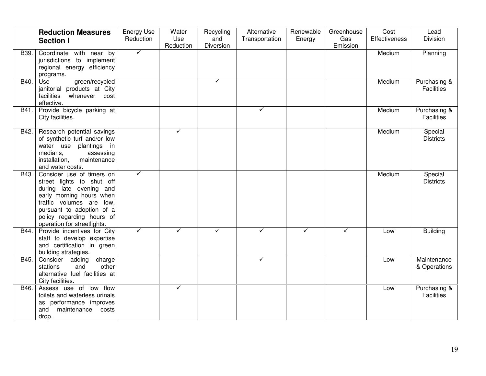|      | <b>Reduction Measures</b><br><b>Section I</b>                                                                                                                                                                                      | <b>Energy Use</b><br>Reduction | Water<br>Use<br>Reduction | Recycling<br>and<br>Diversion | Alternative<br>Transportation | Renewable<br>Energy | Greenhouse<br>Gas<br>Emission | Cost<br><b>Effectiveness</b> | Lead<br>Division                  |
|------|------------------------------------------------------------------------------------------------------------------------------------------------------------------------------------------------------------------------------------|--------------------------------|---------------------------|-------------------------------|-------------------------------|---------------------|-------------------------------|------------------------------|-----------------------------------|
| B39. | Coordinate with near by<br>jurisdictions to implement<br>regional energy efficiency<br>programs.                                                                                                                                   | $\checkmark$                   |                           |                               |                               |                     |                               | Medium                       | Planning                          |
| B40. | green/recycled<br>Use<br>janitorial products at City<br>facilities<br>whenever cost<br>effective.                                                                                                                                  |                                |                           | $\checkmark$                  |                               |                     |                               | Medium                       | Purchasing &<br>Facilities        |
| B41. | Provide bicycle parking at<br>City facilities.                                                                                                                                                                                     |                                |                           |                               | $\checkmark$                  |                     |                               | Medium                       | Purchasing &<br><b>Facilities</b> |
| B42. | Research potential savings<br>of synthetic turf and/or low<br>water use plantings in<br>medians,<br>assessing<br>installation,<br>maintenance<br>and water costs.                                                                  |                                | ✓                         |                               |                               |                     |                               | Medium                       | Special<br><b>Districts</b>       |
| B43. | Consider use of timers on<br>street lights to shut off<br>during late evening and<br>early morning hours when<br>traffic volumes are low,<br>pursuant to adoption of a<br>policy regarding hours of<br>operation for streetlights. | $\checkmark$                   |                           |                               |                               |                     |                               | Medium                       | Special<br><b>Districts</b>       |
| B44. | Provide incentives for City<br>staff to develop expertise<br>and certification in green<br>building strategies.                                                                                                                    | ✓                              | ✓                         | $\checkmark$                  | ✓                             | ✓                   | $\checkmark$                  | Low                          | <b>Building</b>                   |
| B45. | Consider adding<br>charge<br>other<br>stations<br>and<br>alternative fuel facilities at<br>City facilities.                                                                                                                        |                                |                           |                               | $\checkmark$                  |                     |                               | Low                          | Maintenance<br>& Operations       |
| B46. | Assess use of low flow<br>toilets and waterless urinals<br>as performance improves<br>maintenance<br>and<br>costs<br>drop.                                                                                                         |                                | ✓                         |                               |                               |                     |                               | Low                          | Purchasing &<br>Facilities        |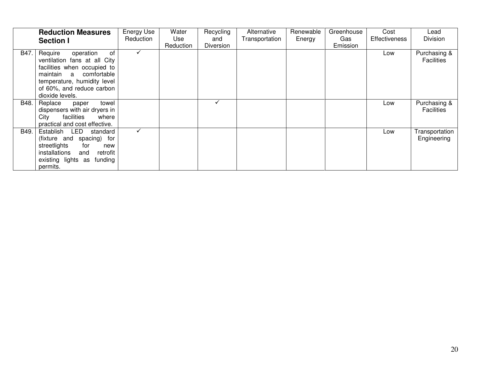|      | <b>Reduction Measures</b><br><b>Section I</b>                                                                                                                                                      | Energy Use<br>Reduction | Water<br>Use<br>Reduction | Recycling<br>and<br><b>Diversion</b> | Alternative<br>Transportation | Renewable<br>Energy | Greenhouse<br>Gas<br>Emission | Cost<br><b>Effectiveness</b> | Lead<br>Division                  |
|------|----------------------------------------------------------------------------------------------------------------------------------------------------------------------------------------------------|-------------------------|---------------------------|--------------------------------------|-------------------------------|---------------------|-------------------------------|------------------------------|-----------------------------------|
| B47. | Require<br>operation<br>of<br>ventilation fans at all City<br>facilities when occupied to<br>maintain a comfortable<br>temperature, humidity level<br>of 60%, and reduce carbon<br>dioxide levels. | $\checkmark$            |                           |                                      |                               |                     |                               | Low                          | Purchasing &<br><b>Facilities</b> |
| B48. | Replace<br>towel<br>paper<br>dispensers with air dryers in<br>facilities<br>City<br>where<br>practical and cost effective.                                                                         |                         |                           | $\checkmark$                         |                               |                     |                               | Low                          | Purchasing &<br><b>Facilities</b> |
| B49. | Establish LED<br>standard<br>(fixture and spacing) for<br>streetlights<br>for<br>new<br>installations<br>and<br>retrofit<br>existing lights as funding<br>permits.                                 | ✓                       |                           |                                      |                               |                     |                               | Low                          | Transportation<br>Engineering     |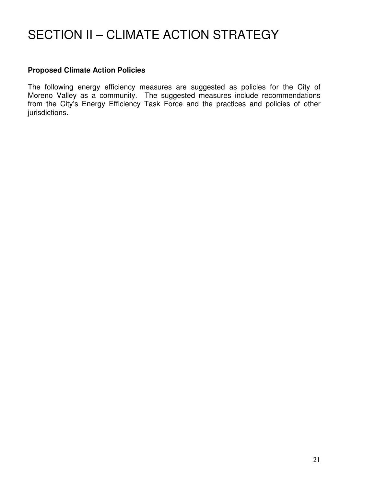# SECTION II – CLIMATE ACTION STRATEGY

#### **Proposed Climate Action Policies**

The following energy efficiency measures are suggested as policies for the City of Moreno Valley as a community. The suggested measures include recommendations from the City's Energy Efficiency Task Force and the practices and policies of other jurisdictions.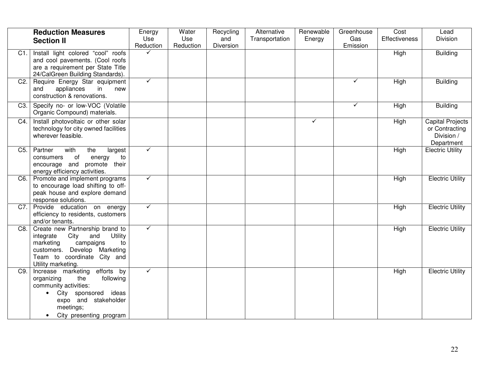|                  | <b>Reduction Measures</b><br><b>Section II</b>                                                                                                                                           | Energy<br>Use<br>Reduction | Water<br>Use<br>Reduction | Recycling<br>and<br>Diversion | Alternative<br>Transportation | Renewable<br>Energy | Greenhouse<br>Gas<br>Emission | Cost<br><b>Effectiveness</b> | Lead<br>Division                                                      |
|------------------|------------------------------------------------------------------------------------------------------------------------------------------------------------------------------------------|----------------------------|---------------------------|-------------------------------|-------------------------------|---------------------|-------------------------------|------------------------------|-----------------------------------------------------------------------|
| C1.              | Install light colored "cool" roofs<br>and cool pavements. (Cool roofs<br>are a requirement per State Title<br>24/CalGreen Building Standards).                                           | $\checkmark$               |                           |                               |                               |                     |                               | High                         | <b>Building</b>                                                       |
| C <sub>2</sub> . | Require Energy Star equipment<br>appliances<br>and<br>in<br>new<br>construction & renovations.                                                                                           | $\checkmark$               |                           |                               |                               |                     | $\checkmark$                  | High                         | <b>Building</b>                                                       |
| C3.              | Specify no- or low-VOC (Volatile<br>Organic Compound) materials.                                                                                                                         |                            |                           |                               |                               |                     | $\checkmark$                  | High                         | <b>Building</b>                                                       |
| C4.              | Install photovoltaic or other solar<br>technology for city owned facilities<br>wherever feasible.                                                                                        |                            |                           |                               |                               | ✓                   |                               | High                         | <b>Capital Projects</b><br>or Contracting<br>Division /<br>Department |
| C <sub>5</sub> . | Partner<br>with<br>the<br>largest<br>of<br>energy<br>consumers<br>to<br>encourage and promote their<br>energy efficiency activities.                                                     | $\checkmark$               |                           |                               |                               |                     |                               | High                         | <b>Electric Utility</b>                                               |
| C6.              | Promote and implement programs<br>to encourage load shifting to off-<br>peak house and explore demand<br>response solutions.                                                             | $\checkmark$               |                           |                               |                               |                     |                               | High                         | <b>Electric Utility</b>                                               |
| C7.              | Provide education on energy<br>efficiency to residents, customers<br>and/or tenants.                                                                                                     | $\checkmark$               |                           |                               |                               |                     |                               | High                         | <b>Electric Utility</b>                                               |
| C8.              | Create new Partnership brand to<br>City and<br>Utility<br>integrate<br>campaigns<br>marketing<br>to<br>customers. Develop Marketing<br>Team to coordinate City and<br>Utility marketing. | $\checkmark$               |                           |                               |                               |                     |                               | High                         | <b>Electric Utility</b>                                               |
| C9.              | efforts by<br>Increase marketing<br>organizing<br>following<br>the<br>community activities:<br>City sponsored ideas<br>expo and stakeholder<br>meetings;<br>City presenting program      | $\blacktriangledown$       |                           |                               |                               |                     |                               | High                         | <b>Electric Utility</b>                                               |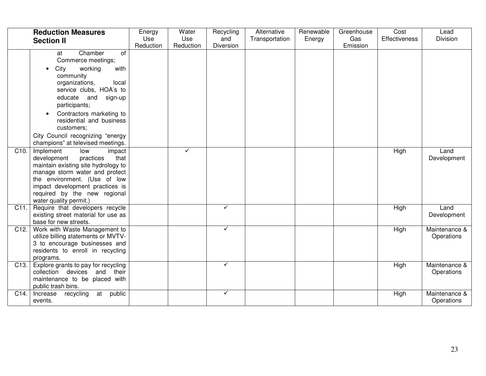|                   | <b>Reduction Measures</b><br><b>Section II</b>                                                                                                                                                                                                                                                                                                           | Energy<br>Use<br>Reduction | Water<br>Use<br>Reduction | Recycling<br>and<br>Diversion | Alternative<br>Transportation | Renewable<br>Energy | Greenhouse<br>Gas<br>Emission | Cost<br><b>Effectiveness</b> | Lead<br>Division            |
|-------------------|----------------------------------------------------------------------------------------------------------------------------------------------------------------------------------------------------------------------------------------------------------------------------------------------------------------------------------------------------------|----------------------------|---------------------------|-------------------------------|-------------------------------|---------------------|-------------------------------|------------------------------|-----------------------------|
|                   | Chamber<br>of<br>at<br>Commerce meetings;<br>City<br>working<br>with<br>$\bullet$<br>community<br>local<br>organizations,<br>service clubs, HOA's to<br>educate and sign-up<br>participants;<br>Contractors marketing to<br>$\bullet$<br>residential and business<br>customers;<br>City Council recognizing "energy<br>champions" at televised meetings. |                            |                           |                               |                               |                     |                               |                              |                             |
| C <sub>10</sub> . | Implement<br>low<br>impact<br>practices<br>that<br>development<br>maintain existing site hydrology to<br>manage storm water and protect<br>the environment. (Use of low<br>impact development practices is<br>required by the new regional<br>water quality permit.)                                                                                     |                            | $\checkmark$              |                               |                               |                     |                               | High                         | Land<br>Development         |
| C11.              | Require that developers recycle<br>existing street material for use as<br>base for new streets.                                                                                                                                                                                                                                                          |                            |                           | ✓                             |                               |                     |                               | High                         | Land<br>Development         |
| C <sub>12</sub> . | Work with Waste Management to<br>utilize billing statements or MVTV-<br>3 to encourage businesses and<br>residents to enroll in recycling<br>programs.                                                                                                                                                                                                   |                            |                           | ✓                             |                               |                     |                               | High                         | Maintenance &<br>Operations |
| C <sub>13</sub> . | Explore grants to pay for recycling<br>collection devices and their<br>maintenance to be placed with<br>public trash bins.                                                                                                                                                                                                                               |                            |                           | ✓                             |                               |                     |                               | High                         | Maintenance &<br>Operations |
| C14.              | Increase recycling<br>at<br>public<br>events.                                                                                                                                                                                                                                                                                                            |                            |                           | ✓                             |                               |                     |                               | High                         | Maintenance &<br>Operations |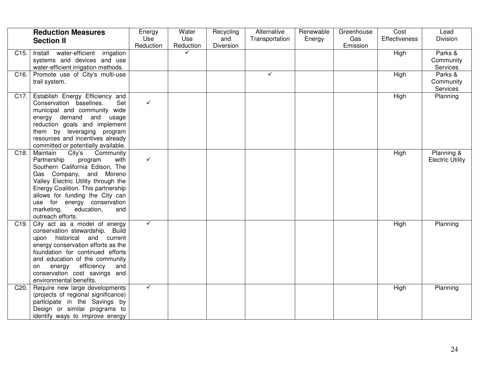|                   | <b>Reduction Measures</b><br><b>Section II</b>                                                                                                                                                                                                                                                                                         | Energy<br>Use<br>Reduction | Water<br>Use<br>Reduction | Recycling<br>and<br>Diversion | Alternative<br>Transportation | Renewable<br>Energy | Greenhouse<br>Gas<br>Emission | Cost<br><b>Effectiveness</b> | Lead<br>Division                      |
|-------------------|----------------------------------------------------------------------------------------------------------------------------------------------------------------------------------------------------------------------------------------------------------------------------------------------------------------------------------------|----------------------------|---------------------------|-------------------------------|-------------------------------|---------------------|-------------------------------|------------------------------|---------------------------------------|
| C <sub>15</sub> . | Install water-efficient irrigation<br>systems and devices and use<br>water-efficient irrigation methods.                                                                                                                                                                                                                               |                            | $\checkmark$              |                               |                               |                     |                               | High                         | Parks &<br>Community<br>Services      |
|                   | C16. Promote use of City's multi-use<br>trail system.                                                                                                                                                                                                                                                                                  |                            |                           |                               | ✓                             |                     |                               | High                         | Parks &<br>Community<br>Services      |
|                   | C17. Establish Energy Efficiency and<br>Conservation baselines.<br>Set<br>municipal and community wide<br>energy demand and usage<br>reduction goals and implement<br>them by leveraging program<br>resources and incentives already<br>committed or potentially available.                                                            | $\checkmark$               |                           |                               |                               |                     |                               | High                         | Planning                              |
| C <sub>18</sub> . | Maintain<br>City's<br>Community<br>Partnership<br>with<br>program<br>Southern California Edison, The<br>Gas Company, and Moreno<br>Valley Electric Utility through the<br>Energy Coalition. This partnership<br>allows for funding the City can<br>use for energy conservation<br>marketing,<br>education,<br>and<br>outreach efforts. | $\checkmark$               |                           |                               |                               |                     |                               | High                         | Planning &<br><b>Electric Utility</b> |
| C19.              | City act as a model of energy<br>conservation stewardship. Build<br>upon historical and current<br>energy conservation efforts as the<br>foundation for continued efforts<br>and education of the community<br>energy<br>efficiency<br>and<br>on<br>conservation cost savings and<br>environmental benefits.                           | $\checkmark$               |                           |                               |                               |                     |                               | High                         | Planning                              |
| C20.              | Require new large developments<br>(projects of regional significance)<br>participate in the Savings by<br>Design or similar programs to<br>identify ways to improve energy                                                                                                                                                             | $\checkmark$               |                           |                               |                               |                     |                               | High                         | Planning                              |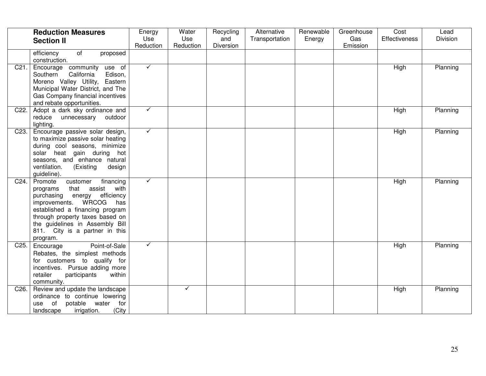|                   | <b>Reduction Measures</b><br><b>Section II</b>                                                                                                                                                                                                                                                 | Energy<br>Use<br>Reduction | Water<br>Use<br>Reduction | Recycling<br>and<br>Diversion | Alternative<br>Transportation | Renewable<br>Energy | Greenhouse<br>Gas<br>Emission | Cost<br><b>Effectiveness</b> | Lead<br>Division |
|-------------------|------------------------------------------------------------------------------------------------------------------------------------------------------------------------------------------------------------------------------------------------------------------------------------------------|----------------------------|---------------------------|-------------------------------|-------------------------------|---------------------|-------------------------------|------------------------------|------------------|
|                   | $\overline{of}$<br>efficiency<br>proposed<br>construction.                                                                                                                                                                                                                                     |                            |                           |                               |                               |                     |                               |                              |                  |
| C21.              | Encourage community use of<br>California<br>Edison,<br>Southern<br>Moreno Valley Utility, Eastern<br>Municipal Water District, and The<br>Gas Company financial incentives<br>and rebate opportunities.                                                                                        | $\checkmark$               |                           |                               |                               |                     |                               | High                         | Planning         |
| C <sub>22</sub> . | Adopt a dark sky ordinance and<br>reduce<br>unnecessary outdoor<br>lighting.                                                                                                                                                                                                                   | $\checkmark$               |                           |                               |                               |                     |                               | High                         | Planning         |
| C <sub>23</sub> . | Encourage passive solar design,<br>to maximize passive solar heating<br>during cool seasons, minimize<br>solar heat gain during hot<br>seasons, and enhance natural<br>ventilation.<br>(Existing<br>design<br>guideline).                                                                      | $\checkmark$               |                           |                               |                               |                     |                               | High                         | Planning         |
| C <sub>24</sub> . | financing<br>Promote<br>customer<br>that assist<br>with<br>programs<br>efficiency<br>purchasing<br>energy<br>improvements. WRCOG<br>has<br>established a financing program<br>through property taxes based on<br>the guidelines in Assembly Bill<br>811. City is a partner in this<br>program. | $\checkmark$               |                           |                               |                               |                     |                               | High                         | Planning         |
| C <sub>25</sub> . | Point-of-Sale<br>Encourage<br>Rebates, the simplest methods<br>for customers to qualify for<br>incentives. Pursue adding more<br>retailer<br>participants<br>within<br>community.                                                                                                              | ✓                          |                           |                               |                               |                     |                               | High                         | Planning         |
| C <sub>26</sub> . | Review and update the landscape<br>ordinance to continue lowering<br>water<br>of<br>potable<br>for<br>use<br>(City<br>landscape<br>irrigation.                                                                                                                                                 |                            | ✓                         |                               |                               |                     |                               | High                         | Planning         |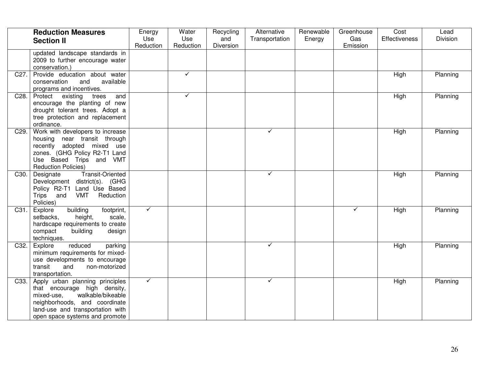|                   | <b>Reduction Measures</b><br><b>Section II</b>                                                                                                                                                                 | Energy<br>Use<br>Reduction | Water<br>Use<br>Reduction | Recycling<br>and<br>Diversion | Alternative<br>Transportation | Renewable<br>Energy | Greenhouse<br>Gas<br>Emission | Cost<br>Effectiveness | Lead<br>Division |
|-------------------|----------------------------------------------------------------------------------------------------------------------------------------------------------------------------------------------------------------|----------------------------|---------------------------|-------------------------------|-------------------------------|---------------------|-------------------------------|-----------------------|------------------|
|                   | updated landscape standards in<br>2009 to further encourage water<br>conservation.)                                                                                                                            |                            |                           |                               |                               |                     |                               |                       |                  |
| C27.              | Provide education about water<br>conservation<br>and<br>available<br>programs and incentives.                                                                                                                  |                            | ✓                         |                               |                               |                     |                               | High                  | Planning         |
| C28.              | Protect existing<br>and<br>trees<br>encourage the planting of new<br>drought tolerant trees. Adopt a<br>tree protection and replacement<br>ordinance.                                                          |                            | ✓                         |                               |                               |                     |                               | High                  | Planning         |
| C <sub>29</sub> . | Work with developers to increase<br>housing near transit through<br>recently adopted mixed use<br>zones. (GHG Policy R2-T1 Land<br>Use Based Trips and VMT<br><b>Reduction Policies)</b>                       |                            |                           |                               | ✓                             |                     |                               | High                  | Planning         |
| C30.              | <b>Transit-Oriented</b><br>Designate<br>Development district(s). (GHG<br>Policy R2-T1 Land Use Based<br>Trips and<br>VMT<br>Reduction<br>Policies)                                                             |                            |                           |                               | $\checkmark$                  |                     |                               | High                  | Planning         |
|                   | building<br>C31. Explore<br>footprint,<br>scale,<br>setbacks,<br>height,<br>hardscape requirements to create<br>compact<br>building<br>design<br>techniques.                                                   | $\checkmark$               |                           |                               |                               |                     | $\checkmark$                  | High                  | Planning         |
| C32.              | reduced<br>parking<br>Explore<br>minimum requirements for mixed-<br>use developments to encourage<br>transit<br>and<br>non-motorized<br>transportation.                                                        |                            |                           |                               | $\checkmark$                  |                     |                               | High                  | Planning         |
|                   | C33. Apply urban planning principles<br>that encourage high density,<br>walkable/bikeable<br>mixed-use,<br>neighborhoods, and coordinate<br>land-use and transportation with<br>open space systems and promote | $\checkmark$               |                           |                               | $\checkmark$                  |                     |                               | High                  | Planning         |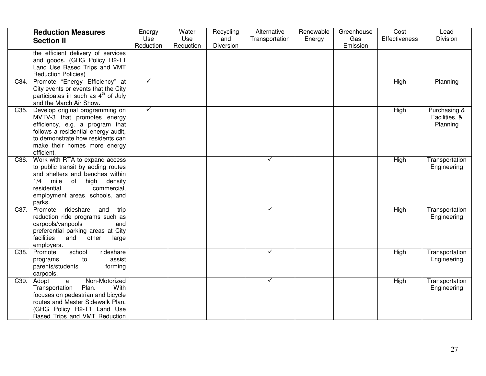|                   | <b>Reduction Measures</b><br><b>Section II</b>                                                                                                                                                                             | Energy<br>Use<br>Reduction | Water<br>Use<br>Reduction | Recycling<br>and<br>Diversion | Alternative<br>Transportation | Renewable<br>Energy | Greenhouse<br>Gas<br>Emission | Cost<br><b>Effectiveness</b> | Lead<br>Division                          |
|-------------------|----------------------------------------------------------------------------------------------------------------------------------------------------------------------------------------------------------------------------|----------------------------|---------------------------|-------------------------------|-------------------------------|---------------------|-------------------------------|------------------------------|-------------------------------------------|
|                   | the efficient delivery of services<br>and goods. (GHG Policy R2-T1<br>Land Use Based Trips and VMT<br><b>Reduction Policies)</b>                                                                                           |                            |                           |                               |                               |                     |                               |                              |                                           |
| C34.              | Promote "Energy Efficiency" at<br>City events or events that the City<br>participates in such as 4 <sup>th</sup> of July<br>and the March Air Show.                                                                        | $\checkmark$               |                           |                               |                               |                     |                               | High                         | Planning                                  |
| C <sub>35</sub> . | Develop original programming on<br>MVTV-3 that promotes energy<br>efficiency, e.g. a program that<br>follows a residential energy audit,<br>to demonstrate how residents can<br>make their homes more energy<br>efficient. | $\checkmark$               |                           |                               |                               |                     |                               | High                         | Purchasing &<br>Facilities, &<br>Planning |
| C <sub>36</sub> . | Work with RTA to expand access<br>to public transit by adding routes<br>and shelters and benches within<br>1/4<br>mile<br>of<br>high<br>density<br>commercial,<br>residential,<br>employment areas, schools, and<br>parks. |                            |                           |                               | ✓                             |                     |                               | High                         | Transportation<br>Engineering             |
| C37.              | rideshare<br>Promote<br>trip<br>and<br>reduction ride programs such as<br>carpools/vanpools<br>and<br>preferential parking areas at City<br>facilities<br>and<br>other<br>large<br>employers.                              |                            |                           |                               | $\checkmark$                  |                     |                               | High                         | Transportation<br>Engineering             |
| C38.              | school<br>rideshare<br>Promote<br>to<br>assist<br>programs<br>forming<br>parents/students<br>carpools.                                                                                                                     |                            |                           |                               | $\checkmark$                  |                     |                               | High                         | Transportation<br>Engineering             |
| C39.              | Non-Motorized<br>Adopt<br>$\mathsf{a}$<br>Plan.<br>Transportation<br>With<br>focuses on pedestrian and bicycle<br>routes and Master Sidewalk Plan.<br>(GHG Policy R2-T1 Land Use<br>Based Trips and VMT Reduction          |                            |                           |                               | $\checkmark$                  |                     |                               | High                         | Transportation<br>Engineering             |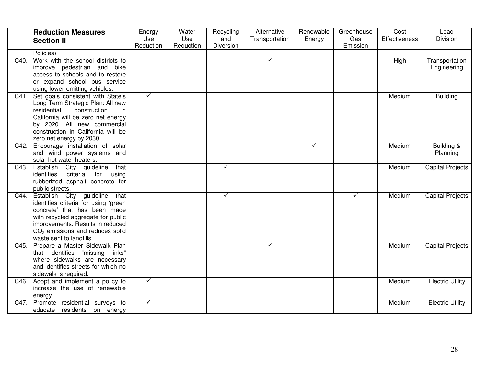|      | <b>Reduction Measures</b>                                        | Energy           | Water            | Recycling        | Alternative    | Renewable | Greenhouse      | Cost                 | Lead                    |
|------|------------------------------------------------------------------|------------------|------------------|------------------|----------------|-----------|-----------------|----------------------|-------------------------|
|      | <b>Section II</b>                                                | Use<br>Reduction | Use<br>Reduction | and<br>Diversion | Transportation | Energy    | Gas<br>Emission | <b>Effectiveness</b> | Division                |
|      | Policies)                                                        |                  |                  |                  |                |           |                 |                      |                         |
| C40. | Work with the school districts to                                |                  |                  |                  | ✓              |           |                 | High                 | Transportation          |
|      | improve pedestrian and bike                                      |                  |                  |                  |                |           |                 |                      | Engineering             |
|      | access to schools and to restore                                 |                  |                  |                  |                |           |                 |                      |                         |
|      | or expand school bus service                                     |                  |                  |                  |                |           |                 |                      |                         |
|      | using lower-emitting vehicles.                                   |                  |                  |                  |                |           |                 |                      |                         |
| C41. | Set goals consistent with State's                                | $\checkmark$     |                  |                  |                |           |                 | Medium               | <b>Building</b>         |
|      | Long Term Strategic Plan: All new                                |                  |                  |                  |                |           |                 |                      |                         |
|      | residential<br>construction<br>in.                               |                  |                  |                  |                |           |                 |                      |                         |
|      | California will be zero net energy                               |                  |                  |                  |                |           |                 |                      |                         |
|      | by 2020. All new commercial                                      |                  |                  |                  |                |           |                 |                      |                         |
|      | construction in California will be                               |                  |                  |                  |                |           |                 |                      |                         |
|      | zero net energy by 2030.                                         |                  |                  |                  |                |           |                 |                      |                         |
| C42. | Encourage installation of solar                                  |                  |                  |                  |                | ✓         |                 | Medium               | Building &              |
|      | and wind power systems and                                       |                  |                  |                  |                |           |                 |                      | Planning                |
| C43. | solar hot water heaters.<br>that                                 |                  |                  | ✓                |                |           |                 | Medium               |                         |
|      | Establish City guideline<br>criteria for<br>identifies<br>using  |                  |                  |                  |                |           |                 |                      | <b>Capital Projects</b> |
|      | rubberized asphalt concrete for                                  |                  |                  |                  |                |           |                 |                      |                         |
|      | public streets.                                                  |                  |                  |                  |                |           |                 |                      |                         |
| C44. | Establish City guideline<br>that                                 |                  |                  | ✓                |                |           | $\checkmark$    | Medium               | <b>Capital Projects</b> |
|      | identifies criteria for using 'green                             |                  |                  |                  |                |           |                 |                      |                         |
|      | concrete' that has been made                                     |                  |                  |                  |                |           |                 |                      |                         |
|      | with recycled aggregate for public                               |                  |                  |                  |                |           |                 |                      |                         |
|      | improvements. Results in reduced                                 |                  |                  |                  |                |           |                 |                      |                         |
|      | $CO2$ emissions and reduces solid                                |                  |                  |                  |                |           |                 |                      |                         |
|      | waste sent to landfills.                                         |                  |                  |                  |                |           |                 |                      |                         |
| C45. | Prepare a Master Sidewalk Plan                                   |                  |                  |                  | ✓              |           |                 | Medium               | <b>Capital Projects</b> |
|      | that identifies "missing links"                                  |                  |                  |                  |                |           |                 |                      |                         |
|      | where sidewalks are necessary                                    |                  |                  |                  |                |           |                 |                      |                         |
|      | and identifies streets for which no                              |                  |                  |                  |                |           |                 |                      |                         |
|      | sidewalk is required.                                            | $\checkmark$     |                  |                  |                |           |                 |                      |                         |
| C46. | Adopt and implement a policy to<br>increase the use of renewable |                  |                  |                  |                |           |                 | Medium               | <b>Electric Utility</b> |
|      | energy.                                                          |                  |                  |                  |                |           |                 |                      |                         |
| C47. | Promote residential surveys to                                   | $\checkmark$     |                  |                  |                |           |                 | Medium               | <b>Electric Utility</b> |
|      | educate residents on energy                                      |                  |                  |                  |                |           |                 |                      |                         |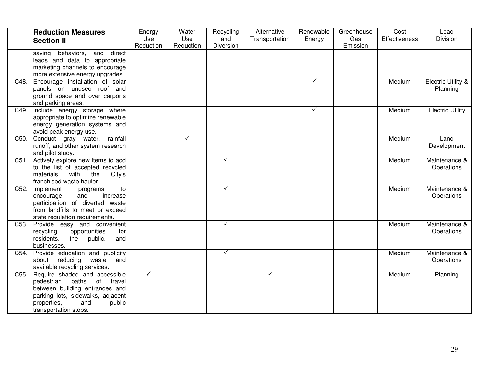|      | <b>Reduction Measures</b><br><b>Section II</b>                                                                                                                                              | Energy<br>Use<br>Reduction | Water<br>Use<br>Reduction | Recycling<br>and<br>Diversion | Alternative<br>Transportation | Renewable<br>Energy | Greenhouse<br>Gas<br>Emission | Cost<br><b>Effectiveness</b> | Lead<br>Division                          |
|------|---------------------------------------------------------------------------------------------------------------------------------------------------------------------------------------------|----------------------------|---------------------------|-------------------------------|-------------------------------|---------------------|-------------------------------|------------------------------|-------------------------------------------|
|      | saving behaviors, and direct<br>leads and data to appropriate<br>marketing channels to encourage<br>more extensive energy upgrades.                                                         |                            |                           |                               |                               |                     |                               |                              |                                           |
| C48. | Encourage installation of solar<br>panels on unused roof and<br>ground space and over carports<br>and parking areas.                                                                        |                            |                           |                               |                               | ✓                   |                               | Medium                       | <b>Electric Utility &amp;</b><br>Planning |
| C49. | Include energy storage where<br>appropriate to optimize renewable<br>energy generation systems and<br>avoid peak energy use.                                                                |                            |                           |                               |                               | ✓                   |                               | Medium                       | <b>Electric Utility</b>                   |
| C50. | Conduct gray water, rainfall<br>runoff, and other system research<br>and pilot study.                                                                                                       |                            | ✓                         |                               |                               |                     |                               | Medium                       | Land<br>Development                       |
| C51. | Actively explore new items to add<br>to the list of accepted recycled<br>with the<br>City's<br>materials<br>franchised waste hauler.                                                        |                            |                           | $\checkmark$                  |                               |                     |                               | Medium                       | Maintenance &<br>Operations               |
| C52. | Implement<br>to<br>programs<br>and<br>encourage<br>increase<br>participation of diverted waste<br>from landfills to meet or exceed<br>state regulation requirements.                        |                            |                           | ✓                             |                               |                     |                               | Medium                       | Maintenance &<br>Operations               |
| C53. | Provide easy and convenient<br>recycling<br>opportunities<br>for<br>residents,<br>the public,<br>and<br>businesses.                                                                         |                            |                           | ✓                             |                               |                     |                               | Medium                       | Maintenance &<br>Operations               |
| C54. | Provide education and publicity<br>about reducing<br>waste<br>and<br>available recycling services.                                                                                          |                            |                           | ✓                             |                               |                     |                               | Medium                       | Maintenance &<br>Operations               |
| C55. | Require shaded and accessible<br>pedestrian paths of travel<br>between building entrances and<br>parking lots, sidewalks, adjacent<br>properties,<br>and<br>public<br>transportation stops. | $\checkmark$               |                           |                               | $\checkmark$                  |                     |                               | Medium                       | Planning                                  |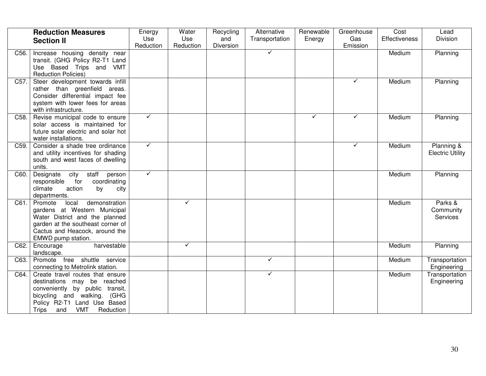|                   | <b>Reduction Measures</b><br><b>Section II</b>                                                                                                                                                                        | Energy<br>Use | Water<br>Use | Recycling<br>and | Alternative<br>Transportation | Renewable<br>Energy | Greenhouse<br>Gas | Cost<br><b>Effectiveness</b> | Lead<br>Division                        |
|-------------------|-----------------------------------------------------------------------------------------------------------------------------------------------------------------------------------------------------------------------|---------------|--------------|------------------|-------------------------------|---------------------|-------------------|------------------------------|-----------------------------------------|
|                   |                                                                                                                                                                                                                       | Reduction     | Reduction    | Diversion        |                               |                     | Emission          |                              |                                         |
| C56.              | Increase housing density near<br>transit. (GHG Policy R2-T1 Land<br>Use Based Trips and VMT<br><b>Reduction Policies)</b>                                                                                             |               |              |                  | $\checkmark$                  |                     |                   | Medium                       | Planning                                |
| C57.              | Steer development towards infill<br>rather than greenfield areas.<br>Consider differential impact fee<br>system with lower fees for areas<br>with infrastructure.                                                     |               |              |                  |                               |                     | $\checkmark$      | Medium                       | Planning                                |
| C <sub>58</sub> . | Revise municipal code to ensure<br>solar access is maintained for<br>future solar electric and solar hot<br>water installations.                                                                                      | $\checkmark$  |              |                  |                               | $\checkmark$        | ✓                 | Medium                       | Planning                                |
| C <sub>59</sub> . | Consider a shade tree ordinance<br>and utility incentives for shading<br>south and west faces of dwelling<br>units.                                                                                                   | $\checkmark$  |              |                  |                               |                     | $\checkmark$      | Medium                       | Planning &<br><b>Electric Utility</b>   |
| C60.              | Designate<br>city<br>staff<br>person<br>coordinating<br>responsible<br>for<br>climate<br>action<br>by<br>city<br>departments.                                                                                         | $\checkmark$  |              |                  |                               |                     |                   | Medium                       | Planning                                |
| C61.              | Promote<br>demonstration<br>local<br>gardens at Western Municipal<br>Water District and the planned<br>garden at the southeast corner of<br>Cactus and Heacock, around the<br>EMWD pump station.                      |               | ✓            |                  |                               |                     |                   | Medium                       | Parks &<br>Community<br><b>Services</b> |
| C62.              | harvestable<br>Encourage<br>landscape.                                                                                                                                                                                |               | $\checkmark$ |                  |                               |                     |                   | Medium                       | Planning                                |
| C63.              | Promote free shuttle service<br>connecting to Metrolink station.                                                                                                                                                      |               |              |                  | ✓                             |                     |                   | Medium                       | Transportation<br>Engineering           |
| C64.              | Create travel routes that ensure<br>destinations may be reached<br>conveniently by public transit,<br>bicycling and walking.<br>(GHG<br>Policy R2-T1 Land Use Based<br><b>VMT</b><br>Reduction<br><b>Trips</b><br>and |               |              |                  | $\checkmark$                  |                     |                   | Medium                       | Transportation<br>Engineering           |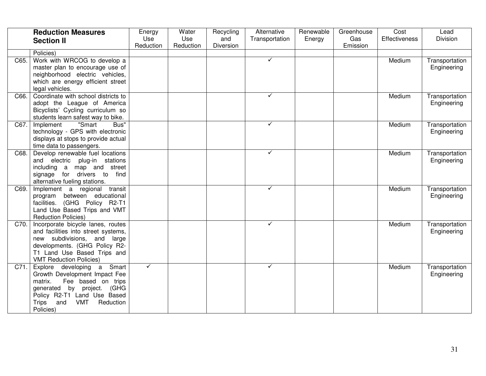|      | <b>Reduction Measures</b>                                          | Energy       | Water     | Recycling        | Alternative    | Renewable | Greenhouse | Cost                 | Lead           |
|------|--------------------------------------------------------------------|--------------|-----------|------------------|----------------|-----------|------------|----------------------|----------------|
|      | <b>Section II</b>                                                  | Use          | Use       | and<br>Diversion | Transportation | Energy    | Gas        | <b>Effectiveness</b> | Division       |
|      | Policies)                                                          | Reduction    | Reduction |                  |                |           | Emission   |                      |                |
| C65. | Work with WRCOG to develop a                                       |              |           |                  | $\checkmark$   |           |            | Medium               | Transportation |
|      | master plan to encourage use of                                    |              |           |                  |                |           |            |                      | Engineering    |
|      | neighborhood electric vehicles,                                    |              |           |                  |                |           |            |                      |                |
|      | which are energy efficient street                                  |              |           |                  |                |           |            |                      |                |
|      | legal vehicles.                                                    |              |           |                  |                |           |            |                      |                |
| C66. | Coordinate with school districts to                                |              |           |                  | $\checkmark$   |           |            | Medium               | Transportation |
|      | adopt the League of America                                        |              |           |                  |                |           |            |                      | Engineering    |
|      | Bicyclists' Cycling curriculum so                                  |              |           |                  |                |           |            |                      |                |
|      | students learn safest way to bike.                                 |              |           |                  |                |           |            |                      |                |
| C67. | "Smart<br>Bus"<br>Implement                                        |              |           |                  | ✓              |           |            | Medium               | Transportation |
|      | technology - GPS with electronic                                   |              |           |                  |                |           |            |                      | Engineering    |
|      | displays at stops to provide actual                                |              |           |                  |                |           |            |                      |                |
|      | time data to passengers.                                           |              |           |                  |                |           |            |                      |                |
| C68. | Develop renewable fuel locations                                   |              |           |                  | ✓              |           |            | Medium               | Transportation |
|      | and electric plug-in stations                                      |              |           |                  |                |           |            |                      | Engineering    |
|      | including a map and street                                         |              |           |                  |                |           |            |                      |                |
|      | signage for drivers to find                                        |              |           |                  |                |           |            |                      |                |
|      | alternative fueling stations.                                      |              |           |                  |                |           |            |                      |                |
| C69. | Implement a regional transit                                       |              |           |                  | ✓              |           |            | Medium               | Transportation |
|      | program between educational                                        |              |           |                  |                |           |            |                      | Engineering    |
|      | (GHG Policy R2-T1<br>facilities.                                   |              |           |                  |                |           |            |                      |                |
|      | Land Use Based Trips and VMT                                       |              |           |                  |                |           |            |                      |                |
|      | <b>Reduction Policies)</b>                                         |              |           |                  | $\checkmark$   |           |            |                      |                |
| C70. | Incorporate bicycle lanes, routes                                  |              |           |                  |                |           |            | Medium               | Transportation |
|      | and facilities into street systems,<br>new subdivisions, and large |              |           |                  |                |           |            |                      | Engineering    |
|      | developments. (GHG Policy R2-                                      |              |           |                  |                |           |            |                      |                |
|      | T1 Land Use Based Trips and                                        |              |           |                  |                |           |            |                      |                |
|      | <b>VMT Reduction Policies)</b>                                     |              |           |                  |                |           |            |                      |                |
| C71. | Explore developing a Smart                                         | $\checkmark$ |           |                  | $\checkmark$   |           |            | Medium               | Transportation |
|      | Growth Development Impact Fee                                      |              |           |                  |                |           |            |                      | Engineering    |
|      | Fee based on trips<br>matrix.                                      |              |           |                  |                |           |            |                      |                |
|      | (GHG)<br>generated by project.                                     |              |           |                  |                |           |            |                      |                |
|      | Policy R2-T1 Land Use Based                                        |              |           |                  |                |           |            |                      |                |
|      | <b>Trips</b><br><b>VMT</b><br>Reduction<br>and                     |              |           |                  |                |           |            |                      |                |
|      | Policies)                                                          |              |           |                  |                |           |            |                      |                |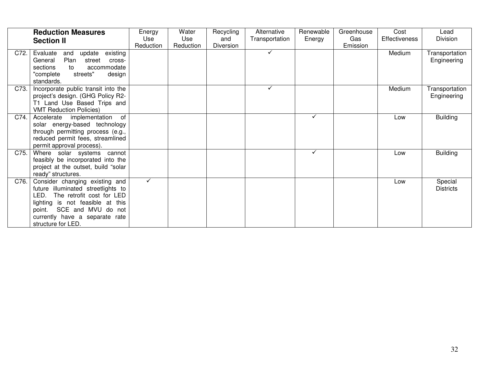|      | <b>Reduction Measures</b><br><b>Section II</b>                                                                                                                                                                                     | Energy<br>Use<br>Reduction | Water<br><b>Use</b><br>Reduction | Recycling<br>and<br><b>Diversion</b> | Alternative<br>Transportation | Renewable<br>Energy | Greenhouse<br>Gas<br>Emission | Cost<br><b>Effectiveness</b> | Lead<br><b>Division</b>       |
|------|------------------------------------------------------------------------------------------------------------------------------------------------------------------------------------------------------------------------------------|----------------------------|----------------------------------|--------------------------------------|-------------------------------|---------------------|-------------------------------|------------------------------|-------------------------------|
| C72. | update existing<br>Evaluate<br>and<br>Plan<br>General<br>street<br>cross-<br>sections<br>accommodate<br>to<br>"complete<br>streets"<br>design<br>standards.                                                                        |                            |                                  |                                      | ✓                             |                     |                               | Medium                       | Transportation<br>Engineering |
| C73. | Incorporate public transit into the<br>project's design. (GHG Policy R2-<br>T1 Land Use Based Trips and<br><b>VMT Reduction Policies)</b>                                                                                          |                            |                                  |                                      | ✓                             |                     |                               | Medium                       | Transportation<br>Engineering |
| C74. | Accelerate implementation<br>of<br>solar energy-based technology<br>through permitting process (e.g.,<br>reduced permit fees, streamlined<br>permit approval process).                                                             |                            |                                  |                                      |                               | $\checkmark$        |                               | Low                          | <b>Building</b>               |
| C75. | Where solar systems cannot<br>feasibly be incorporated into the<br>project at the outset, build "solar<br>ready" structures.                                                                                                       |                            |                                  |                                      |                               | ✓                   |                               | Low                          | <b>Building</b>               |
| C76. | Consider changing existing and<br>future illuminated streetlights to<br>LED.<br>The retrofit cost for LED<br>lighting is not feasible at this<br>point. SCE and MVU do not<br>currently have a separate rate<br>structure for LED. | ✓                          |                                  |                                      |                               |                     |                               | Low                          | Special<br><b>Districts</b>   |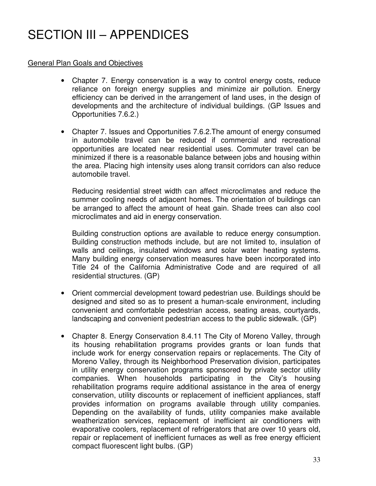# SECTION III – APPENDICES

#### General Plan Goals and Objectives

- Chapter 7. Energy conservation is a way to control energy costs, reduce reliance on foreign energy supplies and minimize air pollution. Energy efficiency can be derived in the arrangement of land uses, in the design of developments and the architecture of individual buildings. (GP Issues and Opportunities 7.6.2.)
- Chapter 7. Issues and Opportunities 7.6.2.The amount of energy consumed in automobile travel can be reduced if commercial and recreational opportunities are located near residential uses. Commuter travel can be minimized if there is a reasonable balance between jobs and housing within the area. Placing high intensity uses along transit corridors can also reduce automobile travel.

Reducing residential street width can affect microclimates and reduce the summer cooling needs of adjacent homes. The orientation of buildings can be arranged to affect the amount of heat gain. Shade trees can also cool microclimates and aid in energy conservation.

Building construction options are available to reduce energy consumption. Building construction methods include, but are not limited to, insulation of walls and ceilings, insulated windows and solar water heating systems. Many building energy conservation measures have been incorporated into Title 24 of the California Administrative Code and are required of all residential structures. (GP)

- Orient commercial development toward pedestrian use. Buildings should be designed and sited so as to present a human-scale environment, including convenient and comfortable pedestrian access, seating areas, courtyards, landscaping and convenient pedestrian access to the public sidewalk. (GP)
- Chapter 8. Energy Conservation 8.4.11 The City of Moreno Valley, through its housing rehabilitation programs provides grants or loan funds that include work for energy conservation repairs or replacements. The City of Moreno Valley, through its Neighborhood Preservation division, participates in utility energy conservation programs sponsored by private sector utility companies. When households participating in the City's housing rehabilitation programs require additional assistance in the area of energy conservation, utility discounts or replacement of inefficient appliances, staff provides information on programs available through utility companies. Depending on the availability of funds, utility companies make available weatherization services, replacement of inefficient air conditioners with evaporative coolers, replacement of refrigerators that are over 10 years old, repair or replacement of inefficient furnaces as well as free energy efficient compact fluorescent light bulbs. (GP)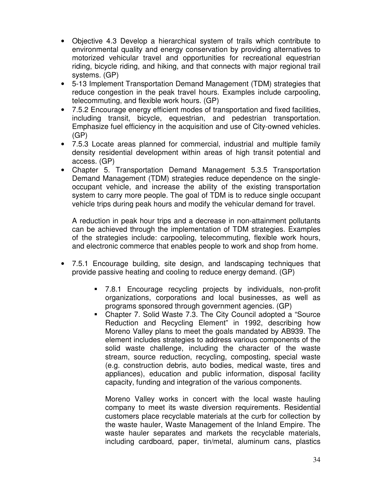- Objective 4.3 Develop a hierarchical system of trails which contribute to environmental quality and energy conservation by providing alternatives to motorized vehicular travel and opportunities for recreational equestrian riding, bicycle riding, and hiking, and that connects with major regional trail systems. (GP)
- 5-13 Implement Transportation Demand Management (TDM) strategies that reduce congestion in the peak travel hours. Examples include carpooling, telecommuting, and flexible work hours. (GP)
- 7.5.2 Encourage energy efficient modes of transportation and fixed facilities, including transit, bicycle, equestrian, and pedestrian transportation. Emphasize fuel efficiency in the acquisition and use of City-owned vehicles. (GP)
- 7.5.3 Locate areas planned for commercial, industrial and multiple family density residential development within areas of high transit potential and access. (GP)
- Chapter 5. Transportation Demand Management 5.3.5 Transportation Demand Management (TDM) strategies reduce dependence on the singleoccupant vehicle, and increase the ability of the existing transportation system to carry more people. The goal of TDM is to reduce single occupant vehicle trips during peak hours and modify the vehicular demand for travel.

A reduction in peak hour trips and a decrease in non-attainment pollutants can be achieved through the implementation of TDM strategies. Examples of the strategies include: carpooling, telecommuting, flexible work hours, and electronic commerce that enables people to work and shop from home.

- 7.5.1 Encourage building, site design, and landscaping techniques that provide passive heating and cooling to reduce energy demand. (GP)
	- 7.8.1 Encourage recycling projects by individuals, non-profit organizations, corporations and local businesses, as well as programs sponsored through government agencies. (GP)
	- Chapter 7. Solid Waste 7.3. The City Council adopted a "Source Reduction and Recycling Element" in 1992, describing how Moreno Valley plans to meet the goals mandated by AB939. The element includes strategies to address various components of the solid waste challenge, including the character of the waste stream, source reduction, recycling, composting, special waste (e.g. construction debris, auto bodies, medical waste, tires and appliances), education and public information, disposal facility capacity, funding and integration of the various components.

Moreno Valley works in concert with the local waste hauling company to meet its waste diversion requirements. Residential customers place recyclable materials at the curb for collection by the waste hauler, Waste Management of the Inland Empire. The waste hauler separates and markets the recyclable materials, including cardboard, paper, tin/metal, aluminum cans, plastics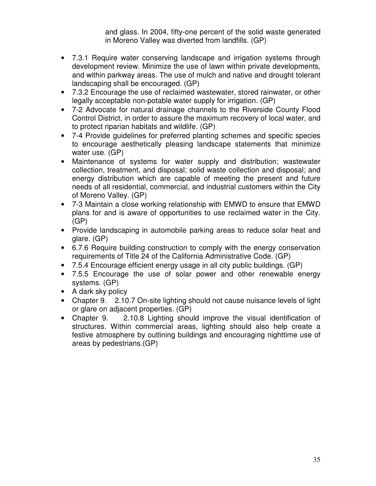and glass. In 2004, fifty-one percent of the solid waste generated in Moreno Valley was diverted from landfills. (GP)

- 7.3.1 Require water conserving landscape and irrigation systems through development review. Minimize the use of lawn within private developments, and within parkway areas. The use of mulch and native and drought tolerant landscaping shall be encouraged. (GP)
- 7.3.2 Encourage the use of reclaimed wastewater, stored rainwater, or other legally acceptable non-potable water supply for irrigation. (GP)
- 7-2 Advocate for natural drainage channels to the Riverside County Flood Control District, in order to assure the maximum recovery of local water, and to protect riparian habitats and wildlife. (GP)
- 7-4 Provide guidelines for preferred planting schemes and specific species to encourage aesthetically pleasing landscape statements that minimize water use. (GP)
- Maintenance of systems for water supply and distribution; wastewater collection, treatment, and disposal; solid waste collection and disposal; and energy distribution which are capable of meeting the present and future needs of all residential, commercial, and industrial customers within the City of Moreno Valley. (GP)
- 7-3 Maintain a close working relationship with EMWD to ensure that EMWD plans for and is aware of opportunities to use reclaimed water in the City. (GP)
- Provide landscaping in automobile parking areas to reduce solar heat and glare. (GP)
- 6.7.6 Require building construction to comply with the energy conservation requirements of Title 24 of the California Administrative Code. (GP)
- 7.5.4 Encourage efficient energy usage in all city public buildings. (GP)
- 7.5.5 Encourage the use of solar power and other renewable energy systems. (GP)
- A dark sky policy
- Chapter 9. 2.10.7 On-site lighting should not cause nuisance levels of light or glare on adjacent properties. (GP)
- Chapter 9. 2.10.8 Lighting should improve the visual identification of structures. Within commercial areas, lighting should also help create a festive atmosphere by outlining buildings and encouraging nighttime use of areas by pedestrians.(GP)